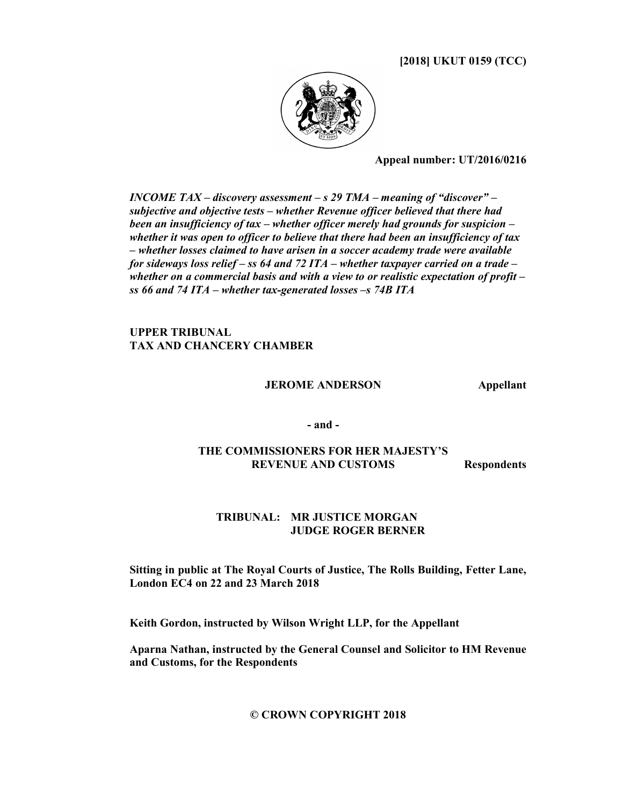[2018] UKUT 0159 (TCC)



Appeal number: UT/2016/0216

INCOME TAX – discovery assessment – s 29 TMA – meaning of "discover" – subjective and objective tests – whether Revenue officer believed that there had been an insufficiency of tax – whether officer merely had grounds for suspicion – whether it was open to officer to believe that there had been an insufficiency of tax – whether losses claimed to have arisen in a soccer academy trade were available for sideways loss relief – ss 64 and 72 ITA – whether taxpayer carried on a trade – whether on a commercial basis and with a view to or realistic expectation of profit  $$ ss 66 and 74 ITA – whether tax-generated losses –s 74B ITA

## UPPER TRIBUNAL TAX AND CHANCERY CHAMBER

JEROME ANDERSON Appellant

- and -

## THE COMMISSIONERS FOR HER MAJESTY'S REVENUE AND CUSTOMS Respondents

## TRIBUNAL: MR JUSTICE MORGAN JUDGE ROGER BERNER

Sitting in public at The Royal Courts of Justice, The Rolls Building, Fetter Lane, London EC4 on 22 and 23 March 2018

Keith Gordon, instructed by Wilson Wright LLP, for the Appellant

Aparna Nathan, instructed by the General Counsel and Solicitor to HM Revenue and Customs, for the Respondents

© CROWN COPYRIGHT 2018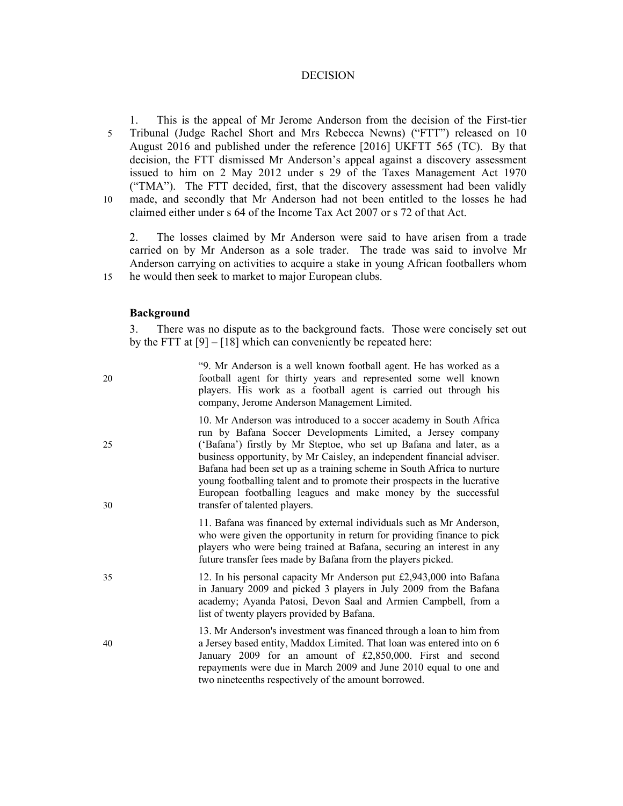### DECISION

1. This is the appeal of Mr Jerome Anderson from the decision of the First-tier 5 Tribunal (Judge Rachel Short and Mrs Rebecca Newns) ("FTT") released on 10 August 2016 and published under the reference [2016] UKFTT 565 (TC). By that decision, the FTT dismissed Mr Anderson's appeal against a discovery assessment issued to him on 2 May 2012 under s 29 of the Taxes Management Act 1970 ("TMA"). The FTT decided, first, that the discovery assessment had been validly 10 made, and secondly that Mr Anderson had not been entitled to the losses he had claimed either under s 64 of the Income Tax Act 2007 or s 72 of that Act.

2. The losses claimed by Mr Anderson were said to have arisen from a trade carried on by Mr Anderson as a sole trader. The trade was said to involve Mr Anderson carrying on activities to acquire a stake in young African footballers whom 15 he would then seek to market to major European clubs.

### Background

3. There was no dispute as to the background facts. Those were concisely set out by the FTT at  $[9] - [18]$  which can conveniently be repeated here:

| 20       | "9. Mr Anderson is a well known football agent. He has worked as a<br>football agent for thirty years and represented some well known<br>players. His work as a football agent is carried out through his<br>company, Jerome Anderson Management Limited.                                                                                                                                                                                                                                                                                  |
|----------|--------------------------------------------------------------------------------------------------------------------------------------------------------------------------------------------------------------------------------------------------------------------------------------------------------------------------------------------------------------------------------------------------------------------------------------------------------------------------------------------------------------------------------------------|
| 25<br>30 | 10. Mr Anderson was introduced to a soccer academy in South Africa<br>run by Bafana Soccer Developments Limited, a Jersey company<br>('Bafana') firstly by Mr Steptoe, who set up Bafana and later, as a<br>business opportunity, by Mr Caisley, an independent financial adviser.<br>Bafana had been set up as a training scheme in South Africa to nurture<br>young footballing talent and to promote their prospects in the lucrative<br>European footballing leagues and make money by the successful<br>transfer of talented players. |
|          | 11. Bafana was financed by external individuals such as Mr Anderson,<br>who were given the opportunity in return for providing finance to pick<br>players who were being trained at Bafana, securing an interest in any<br>future transfer fees made by Bafana from the players picked.                                                                                                                                                                                                                                                    |
| 35       | 12. In his personal capacity Mr Anderson put £2,943,000 into Bafana<br>in January 2009 and picked 3 players in July 2009 from the Bafana<br>academy; Ayanda Patosi, Devon Saal and Armien Campbell, from a<br>list of twenty players provided by Bafana.                                                                                                                                                                                                                                                                                   |
| 40       | 13. Mr Anderson's investment was financed through a loan to him from<br>a Jersey based entity, Maddox Limited. That loan was entered into on 6<br>January 2009 for an amount of £2,850,000. First and second<br>repayments were due in March 2009 and June 2010 equal to one and<br>two nineteenths respectively of the amount borrowed.                                                                                                                                                                                                   |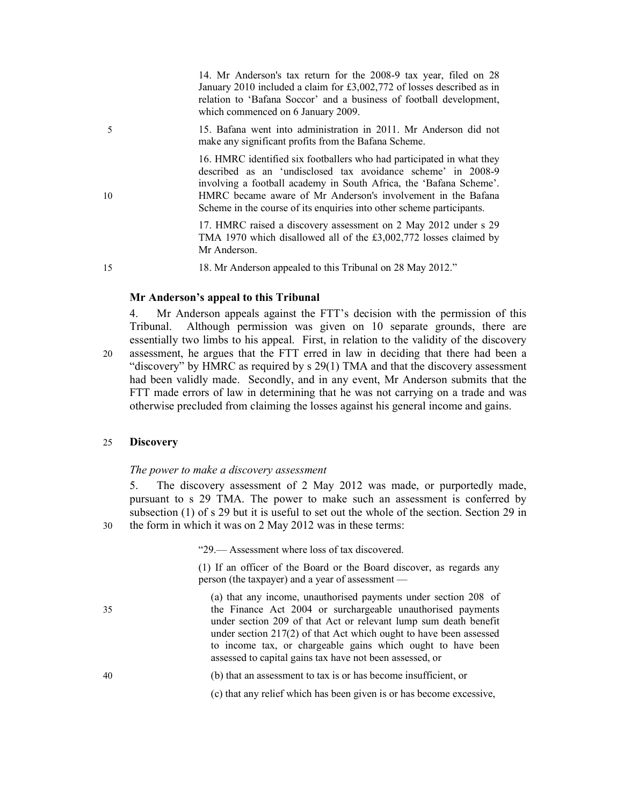14. Mr Anderson's tax return for the 2008-9 tax year, filed on 28 January 2010 included a claim for £3,002,772 of losses described as in relation to 'Bafana Soccor' and a business of football development, which commenced on 6 January 2009.

5 15. Bafana went into administration in 2011. Mr Anderson did not make any significant profits from the Bafana Scheme.

16. HMRC identified six footballers who had participated in what they described as an 'undisclosed tax avoidance scheme' in 2008-9 involving a football academy in South Africa, the 'Bafana Scheme'. 10 HMRC became aware of Mr Anderson's involvement in the Bafana Scheme in the course of its enquiries into other scheme participants.

> 17. HMRC raised a discovery assessment on 2 May 2012 under s 29 TMA 1970 which disallowed all of the £3,002,772 losses claimed by Mr Anderson.

15 18. Mr Anderson appealed to this Tribunal on 28 May 2012."

#### Mr Anderson's appeal to this Tribunal

Mr Anderson appeals against the FTT's decision with the permission of this Tribunal. Although permission was given on 10 separate grounds, there are essentially two limbs to his appeal. First, in relation to the validity of the discovery 20 assessment, he argues that the FTT erred in law in deciding that there had been a "discovery" by HMRC as required by s 29(1) TMA and that the discovery assessment had been validly made. Secondly, and in any event, Mr Anderson submits that the FTT made errors of law in determining that he was not carrying on a trade and was otherwise precluded from claiming the losses against his general income and gains.

### 25 Discovery

#### The power to make a discovery assessment

5. The discovery assessment of 2 May 2012 was made, or purportedly made, pursuant to s 29 TMA. The power to make such an assessment is conferred by subsection (1) of s 29 but it is useful to set out the whole of the section. Section 29 in 30 the form in which it was on 2 May 2012 was in these terms:

"29.— Assessment where loss of tax discovered.

(1) If an officer of the Board or the Board discover, as regards any person (the taxpayer) and a year of assessment —

(a) that any income, unauthorised payments under section 208 of 35 the Finance Act 2004 or surchargeable unauthorised payments under section 209 of that Act or relevant lump sum death benefit under section 217(2) of that Act which ought to have been assessed to income tax, or chargeable gains which ought to have been assessed to capital gains tax have not been assessed, or

- 40 (b) that an assessment to tax is or has become insufficient, or
	- (c) that any relief which has been given is or has become excessive,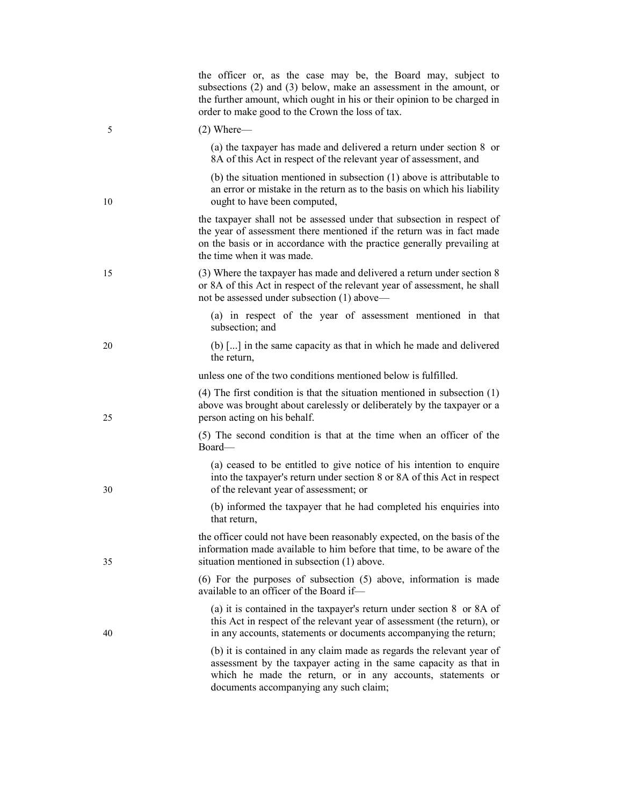|    | the officer or, as the case may be, the Board may, subject to<br>subsections (2) and (3) below, make an assessment in the amount, or<br>the further amount, which ought in his or their opinion to be charged in<br>order to make good to the Crown the loss of tax. |
|----|----------------------------------------------------------------------------------------------------------------------------------------------------------------------------------------------------------------------------------------------------------------------|
| 5  | $(2)$ Where—                                                                                                                                                                                                                                                         |
|    | (a) the taxpayer has made and delivered a return under section 8 or<br>8A of this Act in respect of the relevant year of assessment, and                                                                                                                             |
| 10 | (b) the situation mentioned in subsection $(1)$ above is attributable to<br>an error or mistake in the return as to the basis on which his liability<br>ought to have been computed,                                                                                 |
|    | the taxpayer shall not be assessed under that subsection in respect of<br>the year of assessment there mentioned if the return was in fact made<br>on the basis or in accordance with the practice generally prevailing at<br>the time when it was made.             |
| 15 | (3) Where the taxpayer has made and delivered a return under section 8<br>or 8A of this Act in respect of the relevant year of assessment, he shall<br>not be assessed under subsection (1) above—                                                                   |
|    | (a) in respect of the year of assessment mentioned in that<br>subsection; and                                                                                                                                                                                        |
| 20 | (b) [] in the same capacity as that in which he made and delivered<br>the return,                                                                                                                                                                                    |
|    | unless one of the two conditions mentioned below is fulfilled.                                                                                                                                                                                                       |
| 25 | $(4)$ The first condition is that the situation mentioned in subsection $(1)$<br>above was brought about carelessly or deliberately by the taxpayer or a<br>person acting on his behalf.                                                                             |
|    | (5) The second condition is that at the time when an officer of the<br>Board—                                                                                                                                                                                        |
| 30 | (a) ceased to be entitled to give notice of his intention to enquire<br>into the taxpayer's return under section 8 or 8A of this Act in respect<br>of the relevant year of assessment; or                                                                            |
|    | (b) informed the taxpayer that he had completed his enquiries into<br>that return,                                                                                                                                                                                   |
| 35 | the officer could not have been reasonably expected, on the basis of the<br>information made available to him before that time, to be aware of the<br>situation mentioned in subsection (1) above.                                                                   |
|    | $(6)$ For the purposes of subsection $(5)$ above, information is made<br>available to an officer of the Board if-                                                                                                                                                    |
| 40 | (a) it is contained in the taxpayer's return under section $8 \text{ or } 8A \text{ of } 1$<br>this Act in respect of the relevant year of assessment (the return), or<br>in any accounts, statements or documents accompanying the return;                          |
|    | (b) it is contained in any claim made as regards the relevant year of<br>assessment by the taxpayer acting in the same capacity as that in<br>which he made the return, or in any accounts, statements or<br>documents accompanying any such claim;                  |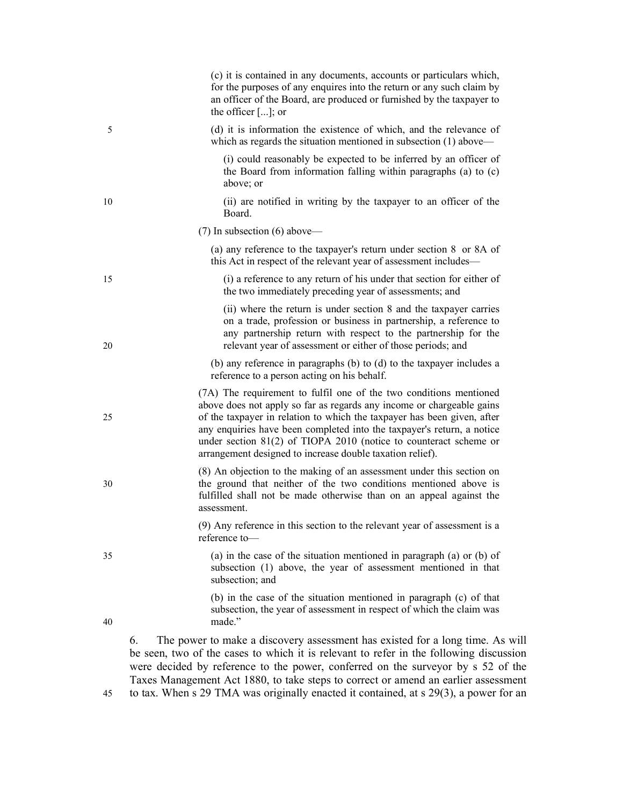|    | (c) it is contained in any documents, accounts or particulars which,<br>for the purposes of any enquires into the return or any such claim by<br>an officer of the Board, are produced or furnished by the taxpayer to<br>the officer []; or                                                                                                                                                                                         |
|----|--------------------------------------------------------------------------------------------------------------------------------------------------------------------------------------------------------------------------------------------------------------------------------------------------------------------------------------------------------------------------------------------------------------------------------------|
| 5  | (d) it is information the existence of which, and the relevance of<br>which as regards the situation mentioned in subsection $(1)$ above—                                                                                                                                                                                                                                                                                            |
|    | (i) could reasonably be expected to be inferred by an officer of<br>the Board from information falling within paragraphs (a) to (c)<br>above; or                                                                                                                                                                                                                                                                                     |
| 10 | (ii) are notified in writing by the taxpayer to an officer of the<br>Board.                                                                                                                                                                                                                                                                                                                                                          |
|    | $(7)$ In subsection $(6)$ above—                                                                                                                                                                                                                                                                                                                                                                                                     |
|    | (a) any reference to the taxpayer's return under section $8 \text{ or } 8\text{ A of}$<br>this Act in respect of the relevant year of assessment includes-                                                                                                                                                                                                                                                                           |
| 15 | (i) a reference to any return of his under that section for either of<br>the two immediately preceding year of assessments; and                                                                                                                                                                                                                                                                                                      |
| 20 | (ii) where the return is under section 8 and the taxpayer carries<br>on a trade, profession or business in partnership, a reference to<br>any partnership return with respect to the partnership for the<br>relevant year of assessment or either of those periods; and                                                                                                                                                              |
|    | (b) any reference in paragraphs (b) to (d) to the taxpayer includes a<br>reference to a person acting on his behalf.                                                                                                                                                                                                                                                                                                                 |
| 25 | (7A) The requirement to fulfil one of the two conditions mentioned<br>above does not apply so far as regards any income or chargeable gains<br>of the taxpayer in relation to which the taxpayer has been given, after<br>any enquiries have been completed into the taxpayer's return, a notice<br>under section $81(2)$ of TIOPA 2010 (notice to counteract scheme or<br>arrangement designed to increase double taxation relief). |
| 30 | (8) An objection to the making of an assessment under this section on<br>the ground that neither of the two conditions mentioned above is<br>fulfilled shall not be made otherwise than on an appeal against the<br>assessment.                                                                                                                                                                                                      |
|    | (9) Any reference in this section to the relevant year of assessment is a<br>reference to-                                                                                                                                                                                                                                                                                                                                           |
| 35 | (a) in the case of the situation mentioned in paragraph (a) or $(b)$ of<br>subsection (1) above, the year of assessment mentioned in that<br>subsection; and                                                                                                                                                                                                                                                                         |
| 40 | (b) in the case of the situation mentioned in paragraph (c) of that<br>subsection, the year of assessment in respect of which the claim was<br>made."                                                                                                                                                                                                                                                                                |
|    | The power to make a discovery assessment has existed for a long time. As will<br>6.<br>be seen, two of the cases to which it is relevant to refer in the following discussion<br>devided by reference to the newcamper femal on the companion by a 50 of the                                                                                                                                                                         |

be seen, two of the cases to which it is relevant to refer in the following discussion were decided by reference to the power, conferred on the surveyor by s 52 of the Taxes Management Act 1880, to take steps to correct or amend an earlier assessment 45 to tax. When s 29 TMA was originally enacted it contained, at s 29(3), a power for an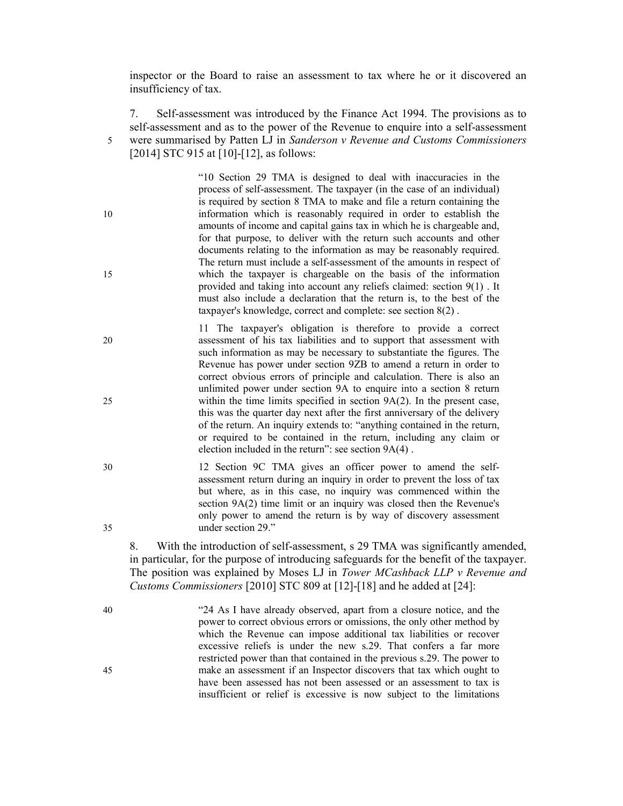inspector or the Board to raise an assessment to tax where he or it discovered an insufficiency of tax.

7. Self-assessment was introduced by the Finance Act 1994. The provisions as to self-assessment and as to the power of the Revenue to enquire into a self-assessment 5 were summarised by Patten LJ in Sanderson v Revenue and Customs Commissioners [2014] STC 915 at [10]-[12], as follows:

"10 Section 29 TMA is designed to deal with inaccuracies in the process of self-assessment. The taxpayer (in the case of an individual) is required by section 8 TMA to make and file a return containing the 10 information which is reasonably required in order to establish the amounts of income and capital gains tax in which he is chargeable and, for that purpose, to deliver with the return such accounts and other documents relating to the information as may be reasonably required. The return must include a self-assessment of the amounts in respect of 15 which the taxpayer is chargeable on the basis of the information provided and taking into account any reliefs claimed: section 9(1) . It must also include a declaration that the return is, to the best of the taxpayer's knowledge, correct and complete: see section 8(2) .

11 The taxpayer's obligation is therefore to provide a correct 20 assessment of his tax liabilities and to support that assessment with such information as may be necessary to substantiate the figures. The Revenue has power under section 9ZB to amend a return in order to correct obvious errors of principle and calculation. There is also an unlimited power under section 9A to enquire into a section 8 return 25 within the time limits specified in section 9A(2). In the present case, this was the quarter day next after the first anniversary of the delivery of the return. An inquiry extends to: "anything contained in the return, or required to be contained in the return, including any claim or election included in the return": see section 9A(4) .

30 12 Section 9C TMA gives an officer power to amend the selfassessment return during an inquiry in order to prevent the loss of tax but where, as in this case, no inquiry was commenced within the section 9A(2) time limit or an inquiry was closed then the Revenue's only power to amend the return is by way of discovery assessment 35 under section 29."

8. With the introduction of self-assessment, s 29 TMA was significantly amended, in particular, for the purpose of introducing safeguards for the benefit of the taxpayer. The position was explained by Moses LJ in Tower MCashback LLP v Revenue and Customs Commissioners [2010] STC 809 at [12]-[18] and he added at [24]:

40 "24 As I have already observed, apart from a closure notice, and the power to correct obvious errors or omissions, the only other method by which the Revenue can impose additional tax liabilities or recover excessive reliefs is under the new s.29. That confers a far more restricted power than that contained in the previous s.29. The power to 45 make an assessment if an Inspector discovers that tax which ought to have been assessed has not been assessed or an assessment to tax is insufficient or relief is excessive is now subject to the limitations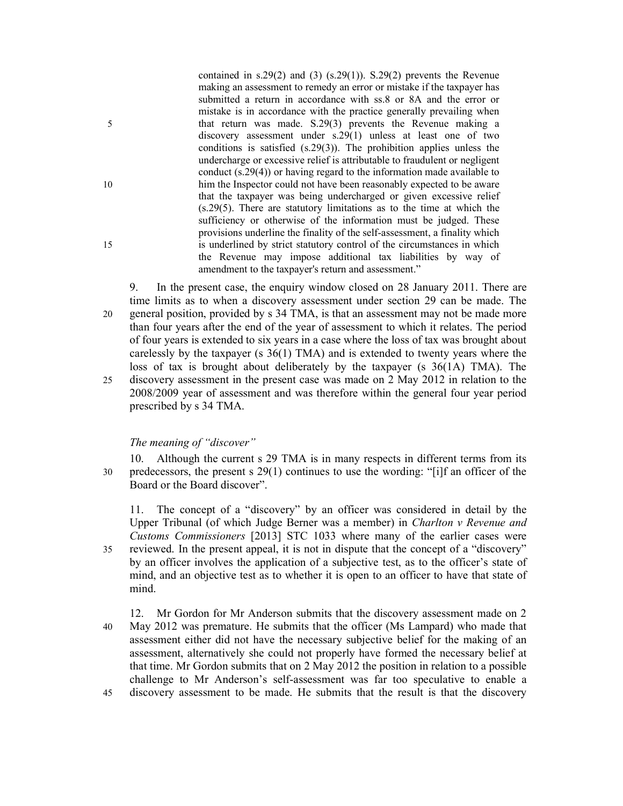contained in s.29(2) and (3) (s.29(1)). S.29(2) prevents the Revenue making an assessment to remedy an error or mistake if the taxpayer has submitted a return in accordance with ss.8 or 8A and the error or mistake is in accordance with the practice generally prevailing when 5 that return was made. S.29(3) prevents the Revenue making a discovery assessment under s.29(1) unless at least one of two conditions is satisfied (s.29(3)). The prohibition applies unless the undercharge or excessive relief is attributable to fraudulent or negligent conduct (s.29(4)) or having regard to the information made available to 10 him the Inspector could not have been reasonably expected to be aware that the taxpayer was being undercharged or given excessive relief (s.29(5). There are statutory limitations as to the time at which the sufficiency or otherwise of the information must be judged. These provisions underline the finality of the self-assessment, a finality which 15 is underlined by strict statutory control of the circumstances in which the Revenue may impose additional tax liabilities by way of amendment to the taxpayer's return and assessment."

9. In the present case, the enquiry window closed on 28 January 2011. There are time limits as to when a discovery assessment under section 29 can be made. The 20 general position, provided by s 34 TMA, is that an assessment may not be made more than four years after the end of the year of assessment to which it relates. The period of four years is extended to six years in a case where the loss of tax was brought about carelessly by the taxpayer (s 36(1) TMA) and is extended to twenty years where the loss of tax is brought about deliberately by the taxpayer (s 36(1A) TMA). The 25 discovery assessment in the present case was made on 2 May 2012 in relation to the 2008/2009 year of assessment and was therefore within the general four year period prescribed by s 34 TMA.

## The meaning of "discover"

10. Although the current s 29 TMA is in many respects in different terms from its 30 predecessors, the present s 29(1) continues to use the wording: "[i]f an officer of the Board or the Board discover".

11. The concept of a "discovery" by an officer was considered in detail by the Upper Tribunal (of which Judge Berner was a member) in *Charlton v Revenue and* Customs Commissioners [2013] STC 1033 where many of the earlier cases were 35 reviewed. In the present appeal, it is not in dispute that the concept of a "discovery" by an officer involves the application of a subjective test, as to the officer's state of

mind, and an objective test as to whether it is open to an officer to have that state of mind.

12. Mr Gordon for Mr Anderson submits that the discovery assessment made on 2 40 May 2012 was premature. He submits that the officer (Ms Lampard) who made that assessment either did not have the necessary subjective belief for the making of an assessment, alternatively she could not properly have formed the necessary belief at that time. Mr Gordon submits that on 2 May 2012 the position in relation to a possible challenge to Mr Anderson's self-assessment was far too speculative to enable a 45 discovery assessment to be made. He submits that the result is that the discovery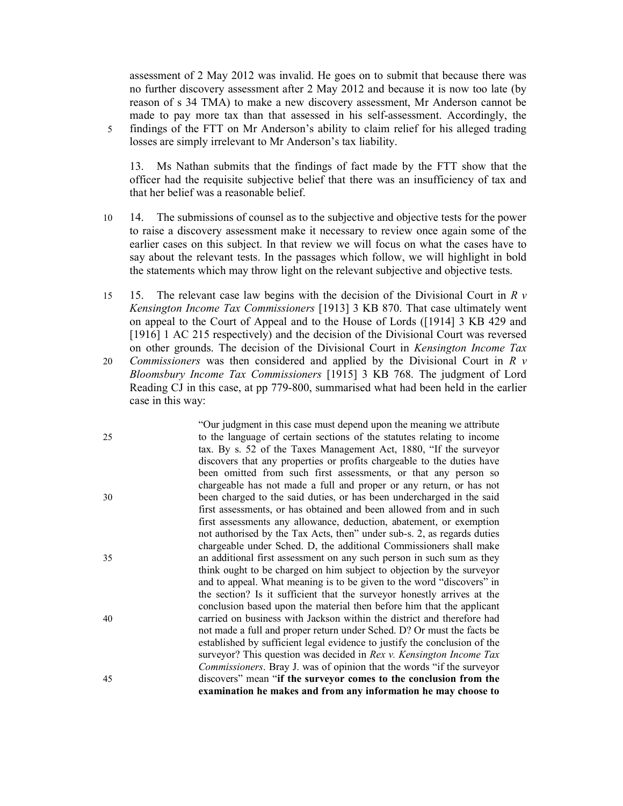assessment of 2 May 2012 was invalid. He goes on to submit that because there was no further discovery assessment after 2 May 2012 and because it is now too late (by reason of s 34 TMA) to make a new discovery assessment, Mr Anderson cannot be made to pay more tax than that assessed in his self-assessment. Accordingly, the 5 findings of the FTT on Mr Anderson's ability to claim relief for his alleged trading losses are simply irrelevant to Mr Anderson's tax liability.

13. Ms Nathan submits that the findings of fact made by the FTT show that the officer had the requisite subjective belief that there was an insufficiency of tax and that her belief was a reasonable belief.

- 10 14. The submissions of counsel as to the subjective and objective tests for the power to raise a discovery assessment make it necessary to review once again some of the earlier cases on this subject. In that review we will focus on what the cases have to say about the relevant tests. In the passages which follow, we will highlight in bold the statements which may throw light on the relevant subjective and objective tests.
- 15 15. The relevant case law begins with the decision of the Divisional Court in  $R v$ Kensington Income Tax Commissioners [1913] 3 KB 870. That case ultimately went on appeal to the Court of Appeal and to the House of Lords ([1914] 3 KB 429 and [1916] 1 AC 215 respectively) and the decision of the Divisional Court was reversed on other grounds. The decision of the Divisional Court in Kensington Income Tax 20 *Commissioners* was then considered and applied by the Divisional Court in  $R$  v
- Bloomsbury Income Tax Commissioners [1915] 3 KB 768. The judgment of Lord Reading CJ in this case, at pp 779-800, summarised what had been held in the earlier case in this way:

"Our judgment in this case must depend upon the meaning we attribute 25 to the language of certain sections of the statutes relating to income tax. By s. 52 of the Taxes Management Act, 1880, "If the surveyor discovers that any properties or profits chargeable to the duties have been omitted from such first assessments, or that any person so chargeable has not made a full and proper or any return, or has not 30 been charged to the said duties, or has been undercharged in the said first assessments, or has obtained and been allowed from and in such first assessments any allowance, deduction, abatement, or exemption not authorised by the Tax Acts, then" under sub-s. 2, as regards duties chargeable under Sched. D, the additional Commissioners shall make 35 an additional first assessment on any such person in such sum as they think ought to be charged on him subject to objection by the surveyor and to appeal. What meaning is to be given to the word "discovers" in the section? Is it sufficient that the surveyor honestly arrives at the conclusion based upon the material then before him that the applicant 40 carried on business with Jackson within the district and therefore had not made a full and proper return under Sched. D? Or must the facts be established by sufficient legal evidence to justify the conclusion of the surveyor? This question was decided in Rex v. Kensington Income Tax Commissioners. Bray J. was of opinion that the words "if the surveyor 45 discovers" mean "if the surveyor comes to the conclusion from the examination he makes and from any information he may choose to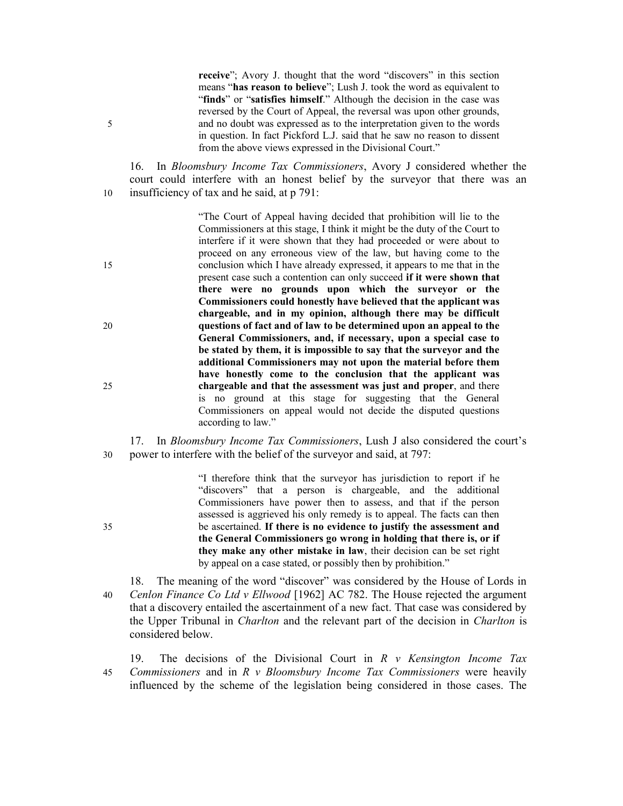receive"; Avory J. thought that the word "discovers" in this section means "has reason to believe"; Lush J. took the word as equivalent to "finds" or "satisfies himself." Although the decision in the case was reversed by the Court of Appeal, the reversal was upon other grounds, 5 and no doubt was expressed as to the interpretation given to the words in question. In fact Pickford L.J. said that he saw no reason to dissent from the above views expressed in the Divisional Court."

16. In Bloomsbury Income Tax Commissioners, Avory J considered whether the court could interfere with an honest belief by the surveyor that there was an 10 insufficiency of tax and he said, at p 791:

"The Court of Appeal having decided that prohibition will lie to the Commissioners at this stage, I think it might be the duty of the Court to interfere if it were shown that they had proceeded or were about to proceed on any erroneous view of the law, but having come to the 15 conclusion which I have already expressed, it appears to me that in the present case such a contention can only succeed if it were shown that there were no grounds upon which the surveyor or the Commissioners could honestly have believed that the applicant was chargeable, and in my opinion, although there may be difficult 20 questions of fact and of law to be determined upon an appeal to the General Commissioners, and, if necessary, upon a special case to be stated by them, it is impossible to say that the surveyor and the additional Commissioners may not upon the material before them have honestly come to the conclusion that the applicant was 25 chargeable and that the assessment was just and proper, and there is no ground at this stage for suggesting that the General Commissioners on appeal would not decide the disputed questions according to law."

17. In Bloomsbury Income Tax Commissioners, Lush J also considered the court's 30 power to interfere with the belief of the surveyor and said, at 797:

"I therefore think that the surveyor has jurisdiction to report if he "discovers" that a person is chargeable, and the additional Commissioners have power then to assess, and that if the person assessed is aggrieved his only remedy is to appeal. The facts can then 35 be ascertained. If there is no evidence to justify the assessment and the General Commissioners go wrong in holding that there is, or if they make any other mistake in law, their decision can be set right by appeal on a case stated, or possibly then by prohibition."

18. The meaning of the word "discover" was considered by the House of Lords in 40 Cenlon Finance Co Ltd v Ellwood  $[1962]$  AC 782. The House rejected the argument that a discovery entailed the ascertainment of a new fact. That case was considered by the Upper Tribunal in Charlton and the relevant part of the decision in Charlton is considered below.

19. The decisions of the Divisional Court in  $R \nu$  Kensington Income Tax 45 Commissioners and in  $R \vee B$ loomsbury Income Tax Commissioners were heavily influenced by the scheme of the legislation being considered in those cases. The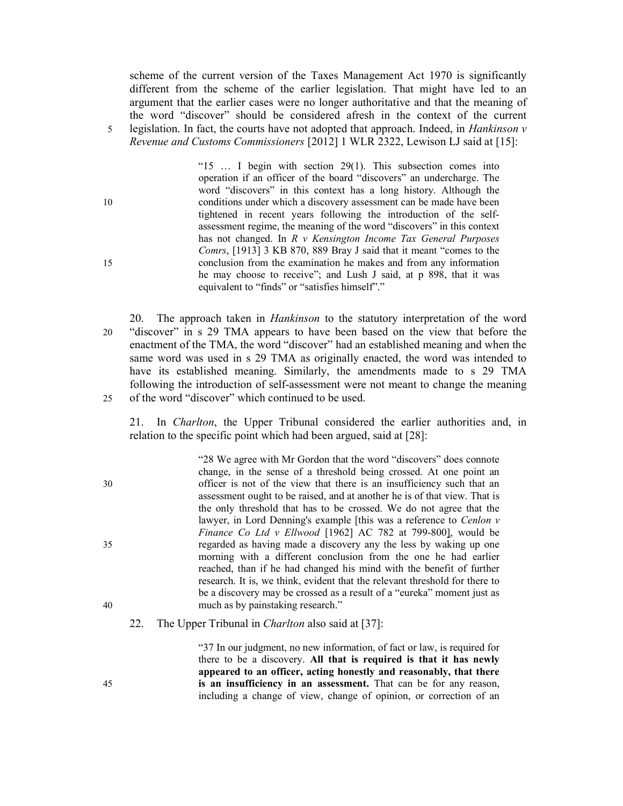scheme of the current version of the Taxes Management Act 1970 is significantly different from the scheme of the earlier legislation. That might have led to an argument that the earlier cases were no longer authoritative and that the meaning of the word "discover" should be considered afresh in the context of the current 5 legislation. In fact, the courts have not adopted that approach. Indeed, in *Hankinson v* Revenue and Customs Commissioners [2012] 1 WLR 2322, Lewison LJ said at [15]:

"15 … I begin with section 29(1). This subsection comes into operation if an officer of the board "discovers" an undercharge. The word "discovers" in this context has a long history. Although the 10 conditions under which a discovery assessment can be made have been tightened in recent years following the introduction of the selfassessment regime, the meaning of the word "discovers" in this context has not changed. In R v Kensington Income Tax General Purposes Comrs, [1913] 3 KB 870, 889 Bray J said that it meant "comes to the 15 conclusion from the examination he makes and from any information he may choose to receive"; and Lush J said, at p 898, that it was equivalent to "finds" or "satisfies himself"."

20. The approach taken in Hankinson to the statutory interpretation of the word 20 "discover" in s 29 TMA appears to have been based on the view that before the enactment of the TMA, the word "discover" had an established meaning and when the same word was used in s 29 TMA as originally enacted, the word was intended to have its established meaning. Similarly, the amendments made to s 29 TMA following the introduction of self-assessment were not meant to change the meaning 25 of the word "discover" which continued to be used.

21. In Charlton, the Upper Tribunal considered the earlier authorities and, in relation to the specific point which had been argued, said at [28]:

"28 We agree with Mr Gordon that the word "discovers" does connote change, in the sense of a threshold being crossed. At one point an 30 officer is not of the view that there is an insufficiency such that an assessment ought to be raised, and at another he is of that view. That is the only threshold that has to be crossed. We do not agree that the lawyer, in Lord Denning's example [this was a reference to Cenlon v Finance Co Ltd v Ellwood [1962] AC 782 at 799-800], would be 35 regarded as having made a discovery any the less by waking up one morning with a different conclusion from the one he had earlier reached, than if he had changed his mind with the benefit of further research. It is, we think, evident that the relevant threshold for there to be a discovery may be crossed as a result of a "eureka" moment just as 40 much as by painstaking research."

22. The Upper Tribunal in *Charlton* also said at [37]:

"37 In our judgment, no new information, of fact or law, is required for there to be a discovery. All that is required is that it has newly appeared to an officer, acting honestly and reasonably, that there 45 is an insufficiency in an assessment. That can be for any reason, including a change of view, change of opinion, or correction of an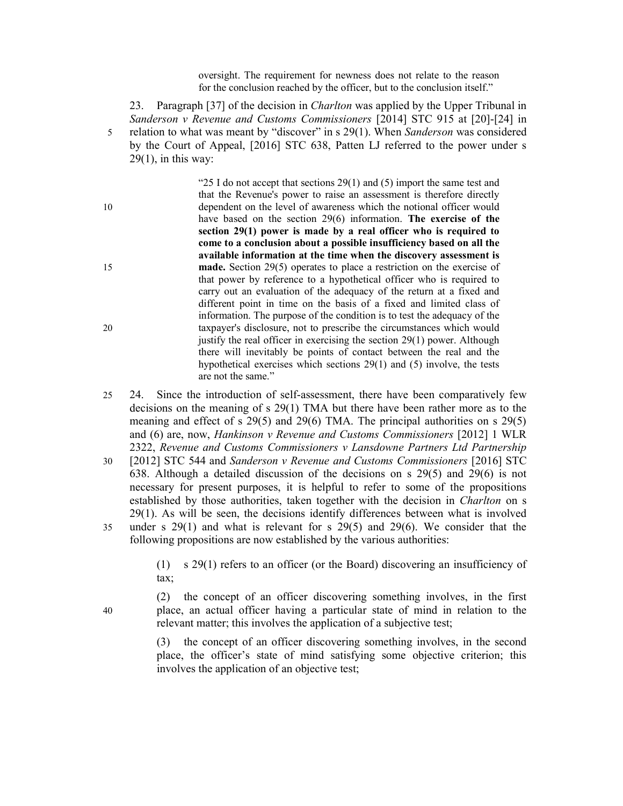oversight. The requirement for newness does not relate to the reason for the conclusion reached by the officer, but to the conclusion itself."

23. Paragraph [37] of the decision in *Charlton* was applied by the Upper Tribunal in Sanderson v Revenue and Customs Commissioners [2014] STC 915 at [20]-[24] in 5 relation to what was meant by "discover" in s 29(1). When Sanderson was considered by the Court of Appeal, [2016] STC 638, Patten LJ referred to the power under s  $29(1)$ , in this way:

"25 I do not accept that sections  $29(1)$  and (5) import the same test and that the Revenue's power to raise an assessment is therefore directly 10 dependent on the level of awareness which the notional officer would have based on the section 29(6) information. The exercise of the section 29(1) power is made by a real officer who is required to come to a conclusion about a possible insufficiency based on all the available information at the time when the discovery assessment is 15 **made.** Section 29(5) operates to place a restriction on the exercise of that power by reference to a hypothetical officer who is required to carry out an evaluation of the adequacy of the return at a fixed and different point in time on the basis of a fixed and limited class of information. The purpose of the condition is to test the adequacy of the 20 taxpayer's disclosure, not to prescribe the circumstances which would justify the real officer in exercising the section 29(1) power. Although there will inevitably be points of contact between the real and the hypothetical exercises which sections 29(1) and (5) involve, the tests are not the same."

- 25 24. Since the introduction of self-assessment, there have been comparatively few decisions on the meaning of s 29(1) TMA but there have been rather more as to the meaning and effect of s 29(5) and 29(6) TMA. The principal authorities on s 29(5) and (6) are, now, Hankinson v Revenue and Customs Commissioners [2012] 1 WLR 2322, Revenue and Customs Commissioners v Lansdowne Partners Ltd Partnership
- 30 [2012] STC 544 and Sanderson v Revenue and Customs Commissioners [2016] STC 638. Although a detailed discussion of the decisions on s 29(5) and 29(6) is not necessary for present purposes, it is helpful to refer to some of the propositions established by those authorities, taken together with the decision in *Charlton* on s 29(1). As will be seen, the decisions identify differences between what is involved 35 under s 29(1) and what is relevant for s 29(5) and 29(6). We consider that the following propositions are now established by the various authorities:

(1) s 29(1) refers to an officer (or the Board) discovering an insufficiency of tax;

(2) the concept of an officer discovering something involves, in the first 40 place, an actual officer having a particular state of mind in relation to the relevant matter; this involves the application of a subjective test;

> (3) the concept of an officer discovering something involves, in the second place, the officer's state of mind satisfying some objective criterion; this involves the application of an objective test;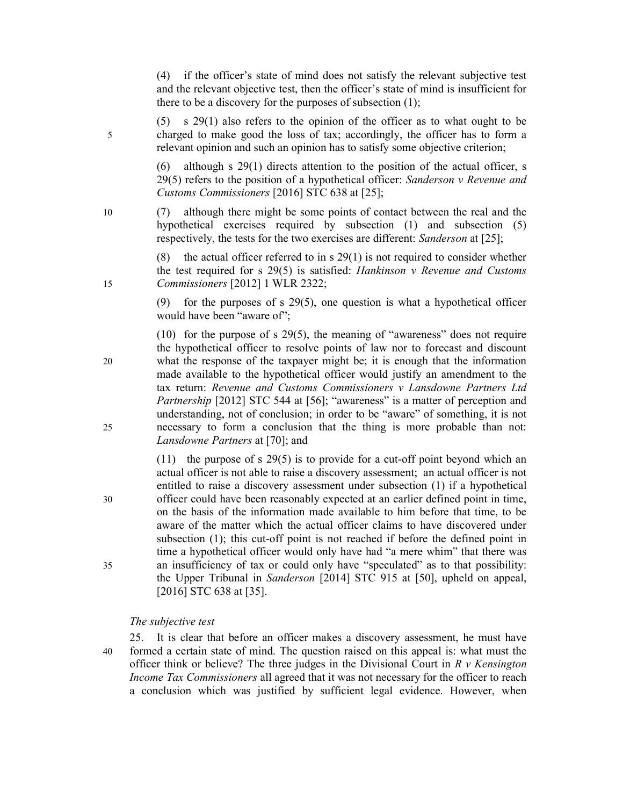(4) if the officer's state of mind does not satisfy the relevant subjective test and the relevant objective test, then the officer's state of mind is insufficient for there to be a discovery for the purposes of subsection (1);

(5) s 29(1) also refers to the opinion of the officer as to what ought to be 5 charged to make good the loss of tax; accordingly, the officer has to form a relevant opinion and such an opinion has to satisfy some objective criterion;

> (6) although s 29(1) directs attention to the position of the actual officer, s  $29(5)$  refers to the position of a hypothetical officer: Sanderson v Revenue and Customs Commissioners [2016] STC 638 at [25];

10 (7) although there might be some points of contact between the real and the hypothetical exercises required by subsection (1) and subsection (5) respectively, the tests for the two exercises are different: Sanderson at [25];

(8) the actual officer referred to in s  $29(1)$  is not required to consider whether the test required for s  $29(5)$  is satisfied: *Hankinson v Revenue and Customs* 15 Commissioners [2012] 1 WLR 2322;

> (9) for the purposes of s 29(5), one question is what a hypothetical officer would have been "aware of";

(10) for the purpose of s 29(5), the meaning of "awareness" does not require the hypothetical officer to resolve points of law nor to forecast and discount 20 what the response of the taxpayer might be; it is enough that the information made available to the hypothetical officer would justify an amendment to the tax return: Revenue and Customs Commissioners v Lansdowne Partners Ltd Partnership [2012] STC 544 at [56]; "awareness" is a matter of perception and understanding, not of conclusion; in order to be "aware" of something, it is not 25 necessary to form a conclusion that the thing is more probable than not: Lansdowne Partners at [70]; and

(11) the purpose of s 29(5) is to provide for a cut-off point beyond which an actual officer is not able to raise a discovery assessment; an actual officer is not entitled to raise a discovery assessment under subsection (1) if a hypothetical 30 officer could have been reasonably expected at an earlier defined point in time, on the basis of the information made available to him before that time, to be aware of the matter which the actual officer claims to have discovered under subsection (1); this cut-off point is not reached if before the defined point in time a hypothetical officer would only have had "a mere whim" that there was 35 an insufficiency of tax or could only have "speculated" as to that possibility: the Upper Tribunal in Sanderson [2014] STC 915 at [50], upheld on appeal, [2016] STC 638 at [35].

### The subjective test

25. It is clear that before an officer makes a discovery assessment, he must have 40 formed a certain state of mind. The question raised on this appeal is: what must the officer think or believe? The three judges in the Divisional Court in  $R \nu$  Kensington Income Tax Commissioners all agreed that it was not necessary for the officer to reach a conclusion which was justified by sufficient legal evidence. However, when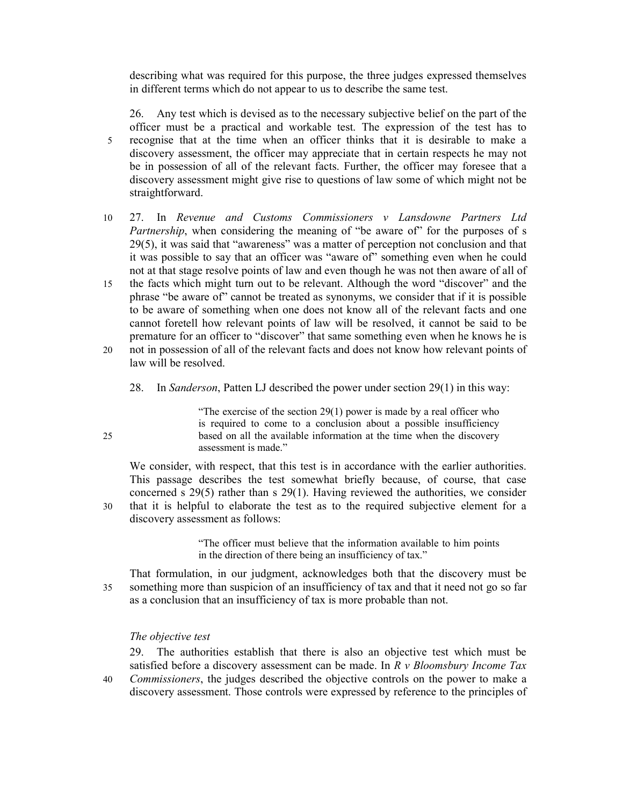describing what was required for this purpose, the three judges expressed themselves in different terms which do not appear to us to describe the same test.

26. Any test which is devised as to the necessary subjective belief on the part of the officer must be a practical and workable test. The expression of the test has to 5 recognise that at the time when an officer thinks that it is desirable to make a discovery assessment, the officer may appreciate that in certain respects he may not be in possession of all of the relevant facts. Further, the officer may foresee that a discovery assessment might give rise to questions of law some of which might not be straightforward.

- 10 27. In Revenue and Customs Commissioners v Lansdowne Partners Ltd Partnership, when considering the meaning of "be aware of" for the purposes of s 29(5), it was said that "awareness" was a matter of perception not conclusion and that it was possible to say that an officer was "aware of" something even when he could not at that stage resolve points of law and even though he was not then aware of all of
- 15 the facts which might turn out to be relevant. Although the word "discover" and the phrase "be aware of" cannot be treated as synonyms, we consider that if it is possible to be aware of something when one does not know all of the relevant facts and one cannot foretell how relevant points of law will be resolved, it cannot be said to be premature for an officer to "discover" that same something even when he knows he is
- 20 not in possession of all of the relevant facts and does not know how relevant points of law will be resolved.
	- 28. In Sanderson, Patten LJ described the power under section 29(1) in this way:

"The exercise of the section  $29(1)$  power is made by a real officer who is required to come to a conclusion about a possible insufficiency 25 based on all the available information at the time when the discovery assessment is made."

We consider, with respect, that this test is in accordance with the earlier authorities. This passage describes the test somewhat briefly because, of course, that case concerned s 29(5) rather than s 29(1). Having reviewed the authorities, we consider 30 that it is helpful to elaborate the test as to the required subjective element for a discovery assessment as follows:

> "The officer must believe that the information available to him points in the direction of there being an insufficiency of tax."

That formulation, in our judgment, acknowledges both that the discovery must be 35 something more than suspicion of an insufficiency of tax and that it need not go so far as a conclusion that an insufficiency of tax is more probable than not.

## The objective test

29. The authorities establish that there is also an objective test which must be satisfied before a discovery assessment can be made. In  $R \nu$  Bloomsbury Income Tax 40 Commissioners, the judges described the objective controls on the power to make a discovery assessment. Those controls were expressed by reference to the principles of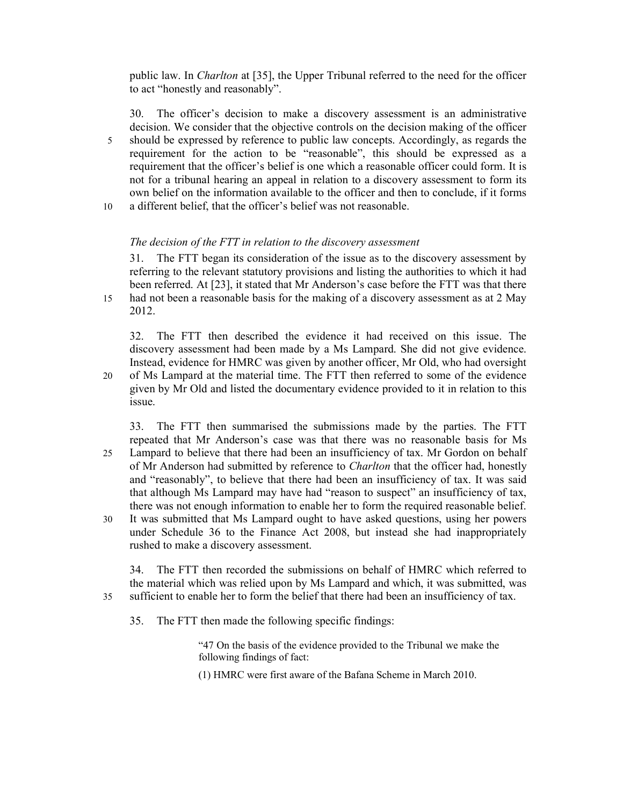public law. In Charlton at [35], the Upper Tribunal referred to the need for the officer to act "honestly and reasonably".

30. The officer's decision to make a discovery assessment is an administrative decision. We consider that the objective controls on the decision making of the officer 5 should be expressed by reference to public law concepts. Accordingly, as regards the requirement for the action to be "reasonable", this should be expressed as a requirement that the officer's belief is one which a reasonable officer could form. It is not for a tribunal hearing an appeal in relation to a discovery assessment to form its own belief on the information available to the officer and then to conclude, if it forms 10 a different belief, that the officer's belief was not reasonable.

## The decision of the FTT in relation to the discovery assessment

31. The FTT began its consideration of the issue as to the discovery assessment by referring to the relevant statutory provisions and listing the authorities to which it had been referred. At [23], it stated that Mr Anderson's case before the FTT was that there 15 had not been a reasonable basis for the making of a discovery assessment as at 2 May

2012.

32. The FTT then described the evidence it had received on this issue. The discovery assessment had been made by a Ms Lampard. She did not give evidence. Instead, evidence for HMRC was given by another officer, Mr Old, who had oversight 20 of Ms Lampard at the material time. The FTT then referred to some of the evidence

given by Mr Old and listed the documentary evidence provided to it in relation to this issue.

33. The FTT then summarised the submissions made by the parties. The FTT repeated that Mr Anderson's case was that there was no reasonable basis for Ms 25 Lampard to believe that there had been an insufficiency of tax. Mr Gordon on behalf of Mr Anderson had submitted by reference to Charlton that the officer had, honestly and "reasonably", to believe that there had been an insufficiency of tax. It was said that although Ms Lampard may have had "reason to suspect" an insufficiency of tax, there was not enough information to enable her to form the required reasonable belief. 30 It was submitted that Ms Lampard ought to have asked questions, using her powers

under Schedule 36 to the Finance Act 2008, but instead she had inappropriately rushed to make a discovery assessment.

34. The FTT then recorded the submissions on behalf of HMRC which referred to the material which was relied upon by Ms Lampard and which, it was submitted, was 35 sufficient to enable her to form the belief that there had been an insufficiency of tax.

35. The FTT then made the following specific findings:

"47 On the basis of the evidence provided to the Tribunal we make the following findings of fact:

(1) HMRC were first aware of the Bafana Scheme in March 2010.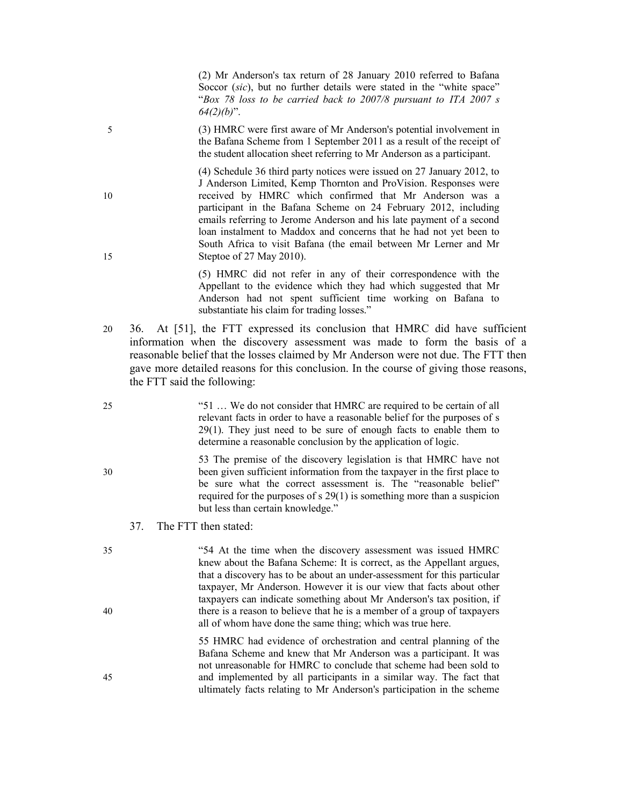(2) Mr Anderson's tax return of 28 January 2010 referred to Bafana Soccor *(sic)*, but no further details were stated in the "white space" "Box 78 loss to be carried back to 2007/8 pursuant to ITA 2007 s  $64(2)(b)$ ".

5 (3) HMRC were first aware of Mr Anderson's potential involvement in the Bafana Scheme from 1 September 2011 as a result of the receipt of the student allocation sheet referring to Mr Anderson as a participant.

(4) Schedule 36 third party notices were issued on 27 January 2012, to J Anderson Limited, Kemp Thornton and ProVision. Responses were 10 received by HMRC which confirmed that Mr Anderson was a participant in the Bafana Scheme on 24 February 2012, including emails referring to Jerome Anderson and his late payment of a second loan instalment to Maddox and concerns that he had not yet been to South Africa to visit Bafana (the email between Mr Lerner and Mr 15 Steptoe of 27 May 2010).

> (5) HMRC did not refer in any of their correspondence with the Appellant to the evidence which they had which suggested that Mr Anderson had not spent sufficient time working on Bafana to substantiate his claim for trading losses."

- 20 36. At [51], the FTT expressed its conclusion that HMRC did have sufficient information when the discovery assessment was made to form the basis of a reasonable belief that the losses claimed by Mr Anderson were not due. The FTT then gave more detailed reasons for this conclusion. In the course of giving those reasons, the FTT said the following:
- 25 "51 … We do not consider that HMRC are required to be certain of all relevant facts in order to have a reasonable belief for the purposes of s 29(1). They just need to be sure of enough facts to enable them to determine a reasonable conclusion by the application of logic.

53 The premise of the discovery legislation is that HMRC have not 30 been given sufficient information from the taxpayer in the first place to be sure what the correct assessment is. The "reasonable belief" required for the purposes of s 29(1) is something more than a suspicion but less than certain knowledge."

- 37. The FTT then stated:
- 35 "54 At the time when the discovery assessment was issued HMRC knew about the Bafana Scheme: It is correct, as the Appellant argues, that a discovery has to be about an under-assessment for this particular taxpayer, Mr Anderson. However it is our view that facts about other taxpayers can indicate something about Mr Anderson's tax position, if 40 there is a reason to believe that he is a member of a group of taxpayers all of whom have done the same thing; which was true here.

55 HMRC had evidence of orchestration and central planning of the Bafana Scheme and knew that Mr Anderson was a participant. It was not unreasonable for HMRC to conclude that scheme had been sold to 45 and implemented by all participants in a similar way. The fact that ultimately facts relating to Mr Anderson's participation in the scheme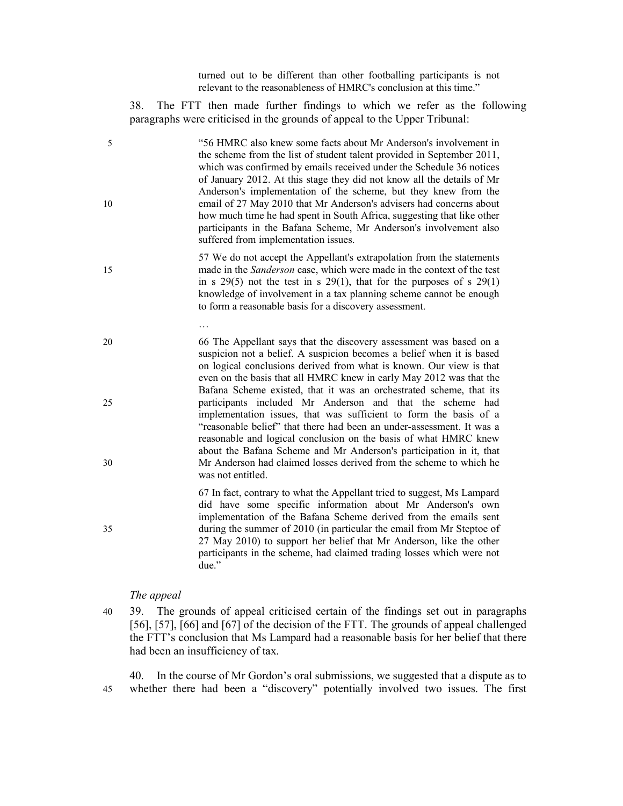turned out to be different than other footballing participants is not relevant to the reasonableness of HMRC's conclusion at this time."

38. The FTT then made further findings to which we refer as the following paragraphs were criticised in the grounds of appeal to the Upper Tribunal:

- 5 "56 HMRC also knew some facts about Mr Anderson's involvement in the scheme from the list of student talent provided in September 2011, which was confirmed by emails received under the Schedule 36 notices of January 2012. At this stage they did not know all the details of Mr Anderson's implementation of the scheme, but they knew from the 10 email of 27 May 2010 that Mr Anderson's advisers had concerns about how much time he had spent in South Africa, suggesting that like other participants in the Bafana Scheme, Mr Anderson's involvement also suffered from implementation issues.
- 57 We do not accept the Appellant's extrapolation from the statements 15 made in the *Sanderson* case, which were made in the context of the test in s  $29(5)$  not the test in s  $29(1)$ , that for the purposes of s  $29(1)$ knowledge of involvement in a tax planning scheme cannot be enough to form a reasonable basis for a discovery assessment.
- 20 66 The Appellant says that the discovery assessment was based on a suspicion not a belief. A suspicion becomes a belief when it is based on logical conclusions derived from what is known. Our view is that even on the basis that all HMRC knew in early May 2012 was that the Bafana Scheme existed, that it was an orchestrated scheme, that its 25 participants included Mr Anderson and that the scheme had implementation issues, that was sufficient to form the basis of a "reasonable belief" that there had been an under-assessment. It was a reasonable and logical conclusion on the basis of what HMRC knew about the Bafana Scheme and Mr Anderson's participation in it, that 30 Mr Anderson had claimed losses derived from the scheme to which he was not entitled.

67 In fact, contrary to what the Appellant tried to suggest, Ms Lampard did have some specific information about Mr Anderson's own implementation of the Bafana Scheme derived from the emails sent 35 during the summer of 2010 (in particular the email from Mr Steptoe of 27 May 2010) to support her belief that Mr Anderson, like the other participants in the scheme, had claimed trading losses which were not due."

#### The appeal

…

40 39. The grounds of appeal criticised certain of the findings set out in paragraphs [56], [57], [66] and [67] of the decision of the FTT. The grounds of appeal challenged the FTT's conclusion that Ms Lampard had a reasonable basis for her belief that there had been an insufficiency of tax.

40. In the course of Mr Gordon's oral submissions, we suggested that a dispute as to 45 whether there had been a "discovery" potentially involved two issues. The first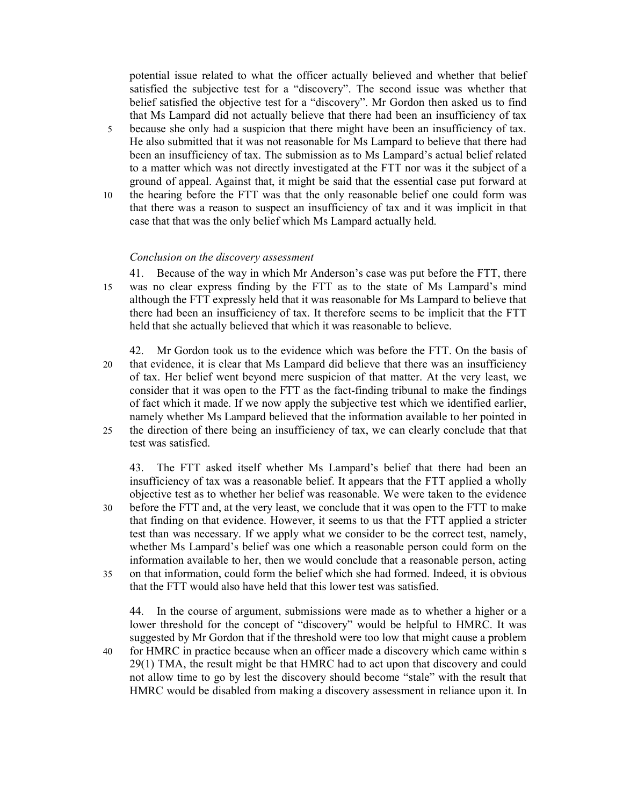potential issue related to what the officer actually believed and whether that belief satisfied the subjective test for a "discovery". The second issue was whether that belief satisfied the objective test for a "discovery". Mr Gordon then asked us to find that Ms Lampard did not actually believe that there had been an insufficiency of tax

- 5 because she only had a suspicion that there might have been an insufficiency of tax. He also submitted that it was not reasonable for Ms Lampard to believe that there had been an insufficiency of tax. The submission as to Ms Lampard's actual belief related to a matter which was not directly investigated at the FTT nor was it the subject of a ground of appeal. Against that, it might be said that the essential case put forward at
- 10 the hearing before the FTT was that the only reasonable belief one could form was that there was a reason to suspect an insufficiency of tax and it was implicit in that case that that was the only belief which Ms Lampard actually held.

### Conclusion on the discovery assessment

- 41. Because of the way in which Mr Anderson's case was put before the FTT, there 15 was no clear express finding by the FTT as to the state of Ms Lampard's mind although the FTT expressly held that it was reasonable for Ms Lampard to believe that there had been an insufficiency of tax. It therefore seems to be implicit that the FTT held that she actually believed that which it was reasonable to believe.
- 42. Mr Gordon took us to the evidence which was before the FTT. On the basis of 20 that evidence, it is clear that Ms Lampard did believe that there was an insufficiency of tax. Her belief went beyond mere suspicion of that matter. At the very least, we consider that it was open to the FTT as the fact-finding tribunal to make the findings of fact which it made. If we now apply the subjective test which we identified earlier, namely whether Ms Lampard believed that the information available to her pointed in 25 the direction of there being an insufficiency of tax, we can clearly conclude that that test was satisfied.

43. The FTT asked itself whether Ms Lampard's belief that there had been an insufficiency of tax was a reasonable belief. It appears that the FTT applied a wholly objective test as to whether her belief was reasonable. We were taken to the evidence 30 before the FTT and, at the very least, we conclude that it was open to the FTT to make that finding on that evidence. However, it seems to us that the FTT applied a stricter test than was necessary. If we apply what we consider to be the correct test, namely, whether Ms Lampard's belief was one which a reasonable person could form on the information available to her, then we would conclude that a reasonable person, acting 35 on that information, could form the belief which she had formed. Indeed, it is obvious

that the FTT would also have held that this lower test was satisfied.

44. In the course of argument, submissions were made as to whether a higher or a lower threshold for the concept of "discovery" would be helpful to HMRC. It was suggested by Mr Gordon that if the threshold were too low that might cause a problem 40 for HMRC in practice because when an officer made a discovery which came within s

29(1) TMA, the result might be that HMRC had to act upon that discovery and could not allow time to go by lest the discovery should become "stale" with the result that HMRC would be disabled from making a discovery assessment in reliance upon it. In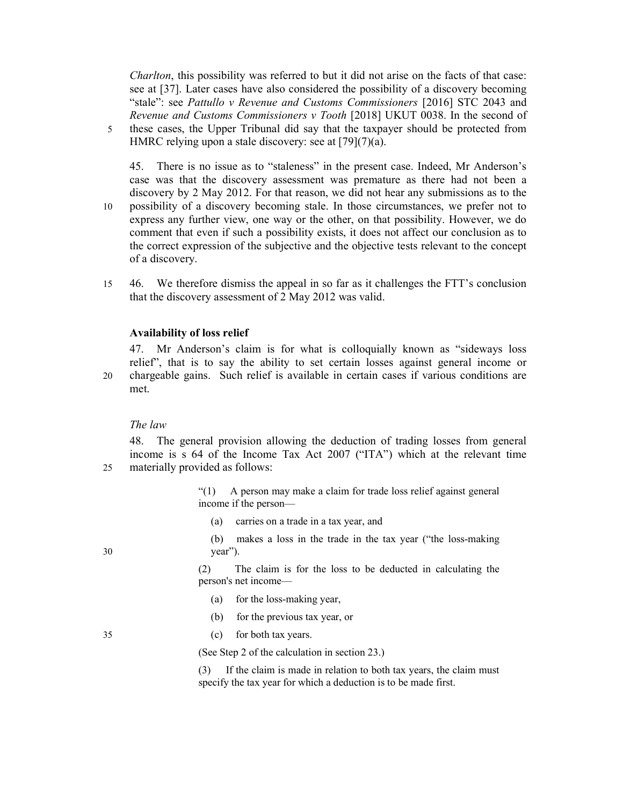Charlton, this possibility was referred to but it did not arise on the facts of that case: see at [37]. Later cases have also considered the possibility of a discovery becoming "stale": see Pattullo v Revenue and Customs Commissioners [2016] STC 2043 and Revenue and Customs Commissioners v Tooth [2018] UKUT 0038. In the second of 5 these cases, the Upper Tribunal did say that the taxpayer should be protected from HMRC relying upon a stale discovery: see at [79](7)(a).

45. There is no issue as to "staleness" in the present case. Indeed, Mr Anderson's case was that the discovery assessment was premature as there had not been a discovery by 2 May 2012. For that reason, we did not hear any submissions as to the 10 possibility of a discovery becoming stale. In those circumstances, we prefer not to express any further view, one way or the other, on that possibility. However, we do comment that even if such a possibility exists, it does not affect our conclusion as to the correct expression of the subjective and the objective tests relevant to the concept of a discovery.

15 46. We therefore dismiss the appeal in so far as it challenges the FTT's conclusion that the discovery assessment of 2 May 2012 was valid.

### Availability of loss relief

47. Mr Anderson's claim is for what is colloquially known as "sideways loss relief", that is to say the ability to set certain losses against general income or 20 chargeable gains. Such relief is available in certain cases if various conditions are met.

### The law

48. The general provision allowing the deduction of trading losses from general income is s 64 of the Income Tax Act 2007 ("ITA") which at the relevant time 25 materially provided as follows:

> "(1) A person may make a claim for trade loss relief against general income if the person—

(a) carries on a trade in a tax year, and

(b) makes a loss in the trade in the tax year ("the loss-making 30 year").

> (2) The claim is for the loss to be deducted in calculating the person's net income—

- (a) for the loss-making year,
- (b) for the previous tax year, or
- 35 (c) for both tax years.

(See Step 2 of the calculation in section 23.)

(3) If the claim is made in relation to both tax years, the claim must specify the tax year for which a deduction is to be made first.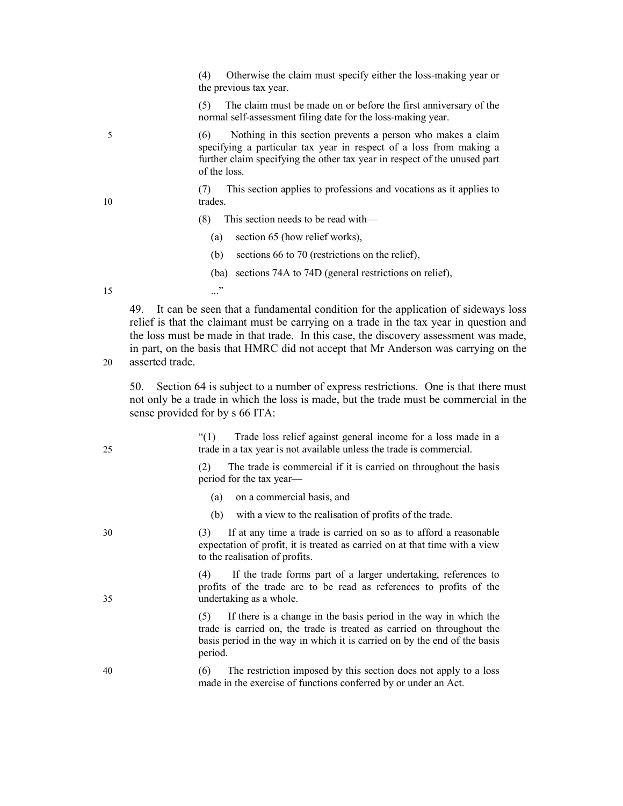(4) Otherwise the claim must specify either the loss-making year or the previous tax year.

(5) The claim must be made on or before the first anniversary of the normal self-assessment filing date for the loss-making year.

5 (6) Nothing in this section prevents a person who makes a claim specifying a particular tax year in respect of a loss from making a further claim specifying the other tax year in respect of the unused part of the loss.

(7) This section applies to professions and vocations as it applies to 10 trades.

(8) This section needs to be read with—

(a) section 65 (how relief works),

(b) sections 66 to 70 (restrictions on the relief),

(ba) sections 74A to 74D (general restrictions on relief),

 $15$  ..."

49. It can be seen that a fundamental condition for the application of sideways loss relief is that the claimant must be carrying on a trade in the tax year in question and the loss must be made in that trade. In this case, the discovery assessment was made, in part, on the basis that HMRC did not accept that Mr Anderson was carrying on the 20 asserted trade.

50. Section 64 is subject to a number of express restrictions. One is that there must not only be a trade in which the loss is made, but the trade must be commercial in the sense provided for by s 66 ITA:

"(1) Trade loss relief against general income for a loss made in a 25 trade in a tax year is not available unless the trade is commercial.

> (2) The trade is commercial if it is carried on throughout the basis period for the tax year—

- (a) on a commercial basis, and
- (b) with a view to the realisation of profits of the trade.

30 (3) If at any time a trade is carried on so as to afford a reasonable expectation of profit, it is treated as carried on at that time with a view to the realisation of profits.

If the trade forms part of a larger undertaking, references to profits of the trade are to be read as references to profits of the 35 undertaking as a whole.

> (5) If there is a change in the basis period in the way in which the trade is carried on, the trade is treated as carried on throughout the basis period in the way in which it is carried on by the end of the basis period.

40 (6) The restriction imposed by this section does not apply to a loss made in the exercise of functions conferred by or under an Act.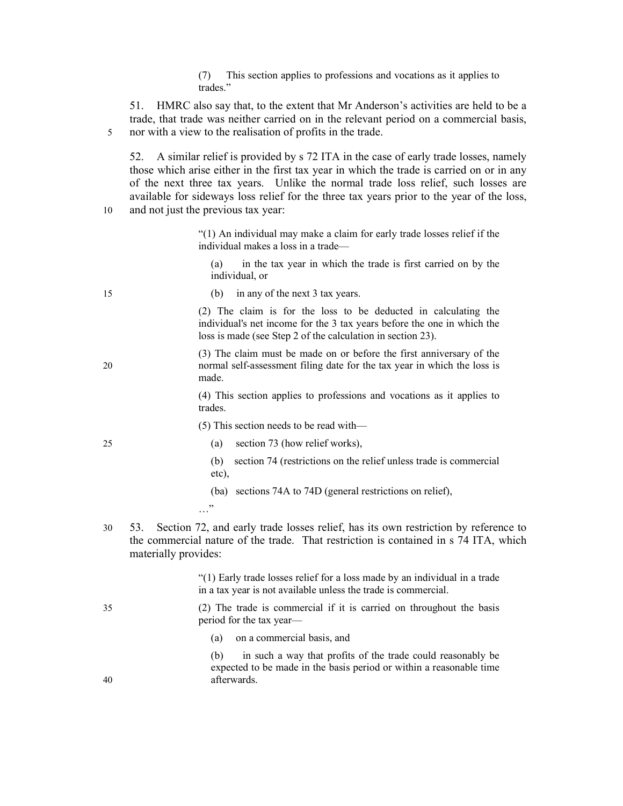#### (7) This section applies to professions and vocations as it applies to trades."

51. HMRC also say that, to the extent that Mr Anderson's activities are held to be a trade, that trade was neither carried on in the relevant period on a commercial basis, 5 nor with a view to the realisation of profits in the trade.

52. A similar relief is provided by s 72 ITA in the case of early trade losses, namely those which arise either in the first tax year in which the trade is carried on or in any of the next three tax years. Unlike the normal trade loss relief, such losses are available for sideways loss relief for the three tax years prior to the year of the loss, 10 and not just the previous tax year:

> "(1) An individual may make a claim for early trade losses relief if the individual makes a loss in a trade—

(a) in the tax year in which the trade is first carried on by the individual, or

15 (b) in any of the next 3 tax years.

(2) The claim is for the loss to be deducted in calculating the individual's net income for the 3 tax years before the one in which the loss is made (see Step 2 of the calculation in section 23).

(3) The claim must be made on or before the first anniversary of the 20 normal self-assessment filing date for the tax year in which the loss is made.

> (4) This section applies to professions and vocations as it applies to trades.

(5) This section needs to be read with—

25 (a) section 73 (how relief works),

- (b) section 74 (restrictions on the relief unless trade is commercial etc),
- (ba) sections 74A to 74D (general restrictions on relief),
- $\cdot$
- 30 53. Section 72, and early trade losses relief, has its own restriction by reference to the commercial nature of the trade. That restriction is contained in s 74 ITA, which materially provides:

"(1) Early trade losses relief for a loss made by an individual in a trade in a tax year is not available unless the trade is commercial.

35 (2) The trade is commercial if it is carried on throughout the basis period for the tax year—

(a) on a commercial basis, and

(b) in such a way that profits of the trade could reasonably be expected to be made in the basis period or within a reasonable time 40 afterwards.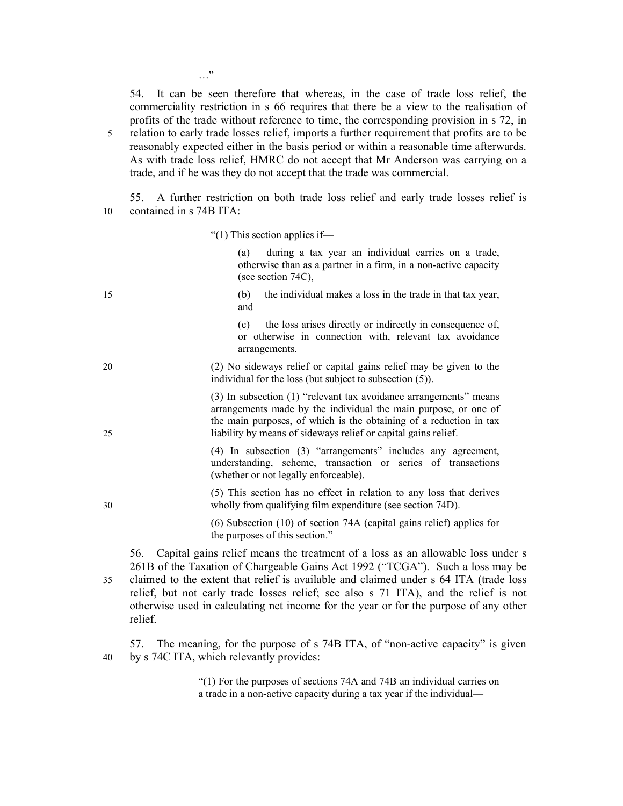54. It can be seen therefore that whereas, in the case of trade loss relief, the commerciality restriction in s 66 requires that there be a view to the realisation of profits of the trade without reference to time, the corresponding provision in s 72, in 5 relation to early trade losses relief, imports a further requirement that profits are to be reasonably expected either in the basis period or within a reasonable time afterwards. As with trade loss relief, HMRC do not accept that Mr Anderson was carrying on a trade, and if he was they do not accept that the trade was commercial.

55. A further restriction on both trade loss relief and early trade losses relief is 10 contained in s 74B ITA:

"(1) This section applies if—

(a) during a tax year an individual carries on a trade, otherwise than as a partner in a firm, in a non-active capacity (see section 74C),

15 (b) the individual makes a loss in the trade in that tax year, and (c) the loss arises directly or indirectly in consequence of,

or otherwise in connection with, relevant tax avoidance arrangements.

20 (2) No sideways relief or capital gains relief may be given to the individual for the loss (but subject to subsection (5)).

(3) In subsection (1) "relevant tax avoidance arrangements" means arrangements made by the individual the main purpose, or one of the main purposes, of which is the obtaining of a reduction in tax 25 liability by means of sideways relief or capital gains relief.

> (4) In subsection (3) "arrangements" includes any agreement, understanding, scheme, transaction or series of transactions (whether or not legally enforceable).

(5) This section has no effect in relation to any loss that derives 30 wholly from qualifying film expenditure (see section 74D).

> (6) Subsection (10) of section 74A (capital gains relief) applies for the purposes of this section."

56. Capital gains relief means the treatment of a loss as an allowable loss under s 261B of the Taxation of Chargeable Gains Act 1992 ("TCGA"). Such a loss may be 35 claimed to the extent that relief is available and claimed under s 64 ITA (trade loss relief, but not early trade losses relief; see also s 71 ITA), and the relief is not otherwise used in calculating net income for the year or for the purpose of any other relief.

57. The meaning, for the purpose of s 74B ITA, of "non-active capacity" is given 40 by s 74C ITA, which relevantly provides:

> "(1) For the purposes of sections 74A and 74B an individual carries on a trade in a non-active capacity during a tax year if the individual—

…"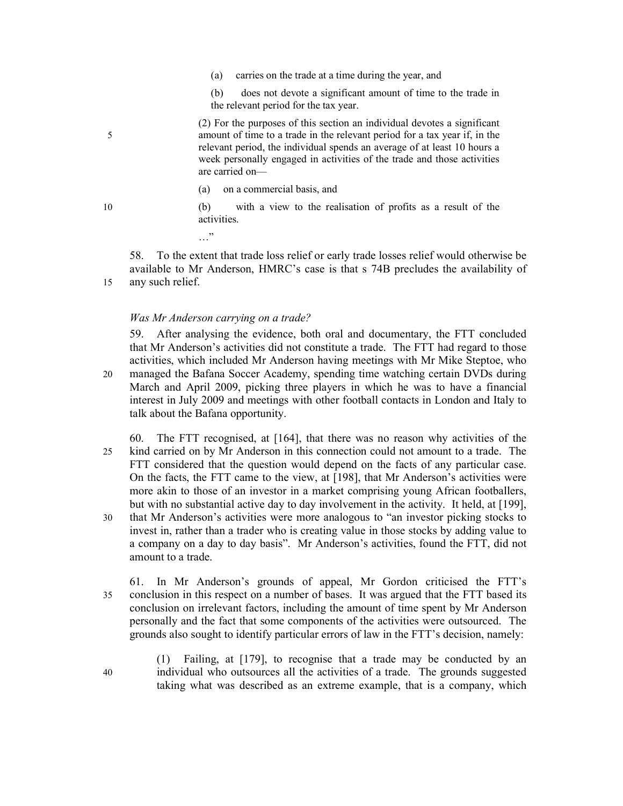- (a) carries on the trade at a time during the year, and
- (b) does not devote a significant amount of time to the trade in the relevant period for the tax year.

(2) For the purposes of this section an individual devotes a significant 5 amount of time to a trade in the relevant period for a tax year if, in the relevant period, the individual spends an average of at least 10 hours a week personally engaged in activities of the trade and those activities are carried on—

- (a) on a commercial basis, and
- 10 (b) with a view to the realisation of profits as a result of the activities.

…"

58. To the extent that trade loss relief or early trade losses relief would otherwise be available to Mr Anderson, HMRC's case is that s 74B precludes the availability of 15 any such relief.

### Was Mr Anderson carrying on a trade?

59. After analysing the evidence, both oral and documentary, the FTT concluded that Mr Anderson's activities did not constitute a trade. The FTT had regard to those activities, which included Mr Anderson having meetings with Mr Mike Steptoe, who 20 managed the Bafana Soccer Academy, spending time watching certain DVDs during March and April 2009, picking three players in which he was to have a financial interest in July 2009 and meetings with other football contacts in London and Italy to talk about the Bafana opportunity.

- 60. The FTT recognised, at [164], that there was no reason why activities of the 25 kind carried on by Mr Anderson in this connection could not amount to a trade. The FTT considered that the question would depend on the facts of any particular case. On the facts, the FTT came to the view, at [198], that Mr Anderson's activities were more akin to those of an investor in a market comprising young African footballers, but with no substantial active day to day involvement in the activity. It held, at [199], 30 that Mr Anderson's activities were more analogous to "an investor picking stocks to
- invest in, rather than a trader who is creating value in those stocks by adding value to a company on a day to day basis". Mr Anderson's activities, found the FTT, did not amount to a trade.
- 61. In Mr Anderson's grounds of appeal, Mr Gordon criticised the FTT's 35 conclusion in this respect on a number of bases. It was argued that the FTT based its conclusion on irrelevant factors, including the amount of time spent by Mr Anderson personally and the fact that some components of the activities were outsourced. The grounds also sought to identify particular errors of law in the FTT's decision, namely:

(1) Failing, at [179], to recognise that a trade may be conducted by an 40 individual who outsources all the activities of a trade. The grounds suggested taking what was described as an extreme example, that is a company, which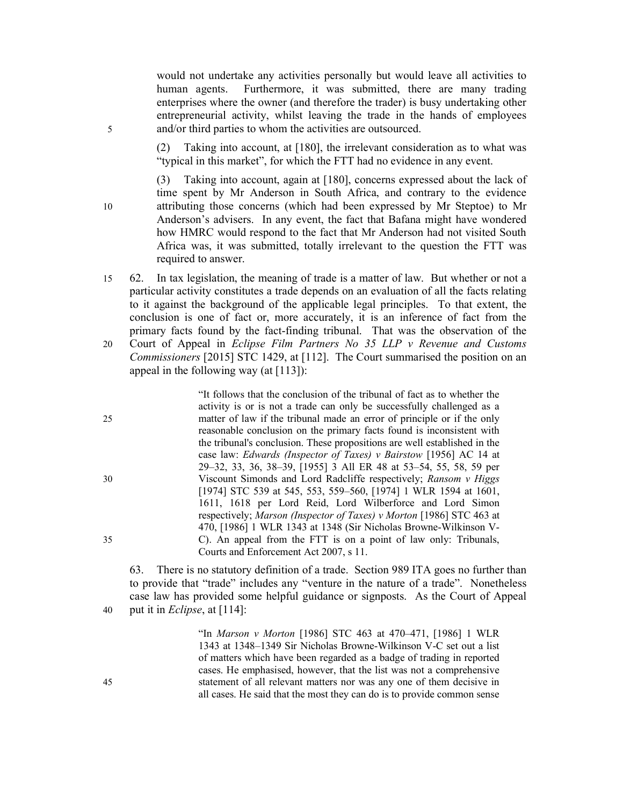would not undertake any activities personally but would leave all activities to human agents. Furthermore, it was submitted, there are many trading enterprises where the owner (and therefore the trader) is busy undertaking other entrepreneurial activity, whilst leaving the trade in the hands of employees 5 and/or third parties to whom the activities are outsourced.

> (2) Taking into account, at [180], the irrelevant consideration as to what was "typical in this market", for which the FTT had no evidence in any event.

(3) Taking into account, again at [180], concerns expressed about the lack of time spent by Mr Anderson in South Africa, and contrary to the evidence 10 attributing those concerns (which had been expressed by Mr Steptoe) to Mr Anderson's advisers. In any event, the fact that Bafana might have wondered how HMRC would respond to the fact that Mr Anderson had not visited South Africa was, it was submitted, totally irrelevant to the question the FTT was required to answer.

15 62. In tax legislation, the meaning of trade is a matter of law. But whether or not a particular activity constitutes a trade depends on an evaluation of all the facts relating to it against the background of the applicable legal principles. To that extent, the conclusion is one of fact or, more accurately, it is an inference of fact from the primary facts found by the fact-finding tribunal. That was the observation of the 20 Court of Appeal in Eclipse Film Partners No 35 LLP v Revenue and Customs Commissioners [2015] STC 1429, at [112]. The Court summarised the position on an appeal in the following way (at  $[113]$ ):

"It follows that the conclusion of the tribunal of fact as to whether the activity is or is not a trade can only be successfully challenged as a 25 matter of law if the tribunal made an error of principle or if the only reasonable conclusion on the primary facts found is inconsistent with the tribunal's conclusion. These propositions are well established in the case law: Edwards (Inspector of Taxes) v Bairstow [1956] AC 14 at 29–32, 33, 36, 38–39, [1955] 3 All ER 48 at 53–54, 55, 58, 59 per 30 Viscount Simonds and Lord Radcliffe respectively; Ransom v Higgs [1974] STC 539 at 545, 553, 559–560, [1974] 1 WLR 1594 at 1601, 1611, 1618 per Lord Reid, Lord Wilberforce and Lord Simon respectively; Marson (Inspector of Taxes) v Morton [1986] STC 463 at 470, [1986] 1 WLR 1343 at 1348 (Sir Nicholas Browne-Wilkinson V-35 C). An appeal from the FTT is on a point of law only: Tribunals, Courts and Enforcement Act 2007, s 11.

63. There is no statutory definition of a trade. Section 989 ITA goes no further than to provide that "trade" includes any "venture in the nature of a trade". Nonetheless case law has provided some helpful guidance or signposts. As the Court of Appeal 40 put it in *Eclipse*, at  $[114]$ :

"In Marson v Morton [1986] STC 463 at 470–471, [1986] 1 WLR 1343 at 1348–1349 Sir Nicholas Browne-Wilkinson V-C set out a list of matters which have been regarded as a badge of trading in reported cases. He emphasised, however, that the list was not a comprehensive 45 statement of all relevant matters nor was any one of them decisive in all cases. He said that the most they can do is to provide common sense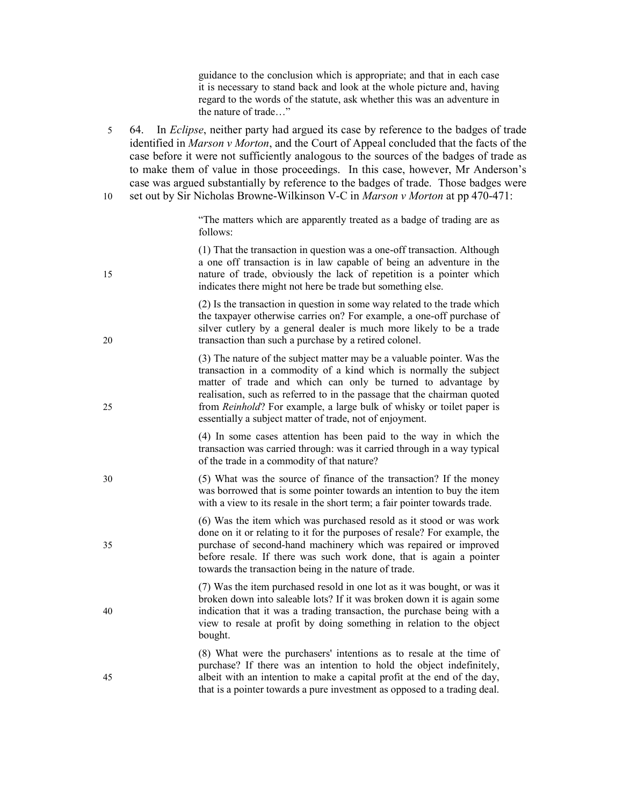guidance to the conclusion which is appropriate; and that in each case it is necessary to stand back and look at the whole picture and, having regard to the words of the statute, ask whether this was an adventure in the nature of trade…"

5 64. In Eclipse, neither party had argued its case by reference to the badges of trade identified in Marson v Morton, and the Court of Appeal concluded that the facts of the case before it were not sufficiently analogous to the sources of the badges of trade as to make them of value in those proceedings. In this case, however, Mr Anderson's case was argued substantially by reference to the badges of trade. Those badges were 10 set out by Sir Nicholas Browne-Wilkinson V-C in Marson v Morton at pp 470-471:

> "The matters which are apparently treated as a badge of trading are as follows:

(1) That the transaction in question was a one-off transaction. Although a one off transaction is in law capable of being an adventure in the 15 nature of trade, obviously the lack of repetition is a pointer which indicates there might not here be trade but something else.

(2) Is the transaction in question in some way related to the trade which the taxpayer otherwise carries on? For example, a one-off purchase of silver cutlery by a general dealer is much more likely to be a trade 20 transaction than such a purchase by a retired colonel.

(3) The nature of the subject matter may be a valuable pointer. Was the transaction in a commodity of a kind which is normally the subject matter of trade and which can only be turned to advantage by realisation, such as referred to in the passage that the chairman quoted 25 from Reinhold? For example, a large bulk of whisky or toilet paper is essentially a subject matter of trade, not of enjoyment.

> (4) In some cases attention has been paid to the way in which the transaction was carried through: was it carried through in a way typical of the trade in a commodity of that nature?

30 (5) What was the source of finance of the transaction? If the money was borrowed that is some pointer towards an intention to buy the item with a view to its resale in the short term; a fair pointer towards trade.

(6) Was the item which was purchased resold as it stood or was work done on it or relating to it for the purposes of resale? For example, the 35 purchase of second-hand machinery which was repaired or improved before resale. If there was such work done, that is again a pointer towards the transaction being in the nature of trade.

(7) Was the item purchased resold in one lot as it was bought, or was it broken down into saleable lots? If it was broken down it is again some 40 indication that it was a trading transaction, the purchase being with a view to resale at profit by doing something in relation to the object bought.

(8) What were the purchasers' intentions as to resale at the time of purchase? If there was an intention to hold the object indefinitely, 45 albeit with an intention to make a capital profit at the end of the day, that is a pointer towards a pure investment as opposed to a trading deal.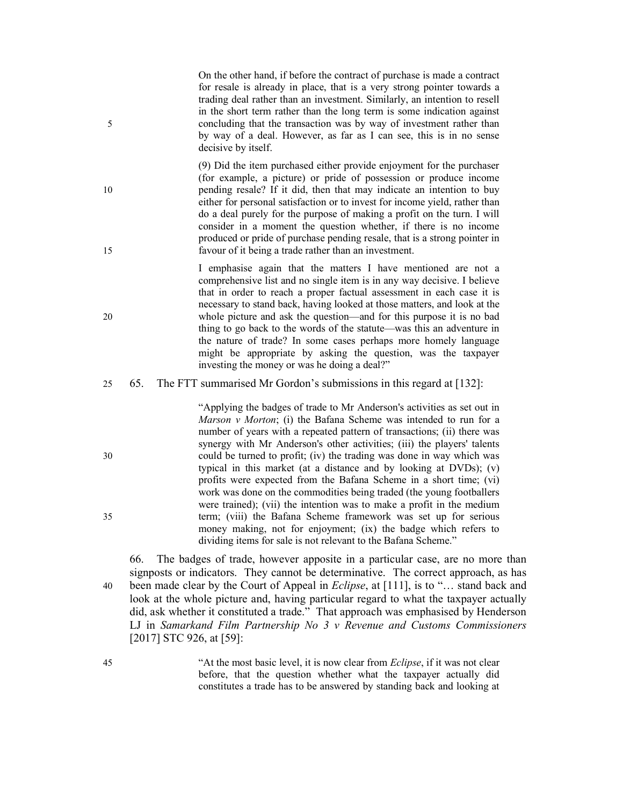On the other hand, if before the contract of purchase is made a contract for resale is already in place, that is a very strong pointer towards a trading deal rather than an investment. Similarly, an intention to resell in the short term rather than the long term is some indication against 5 concluding that the transaction was by way of investment rather than by way of a deal. However, as far as I can see, this is in no sense decisive by itself.

(9) Did the item purchased either provide enjoyment for the purchaser (for example, a picture) or pride of possession or produce income 10 pending resale? If it did, then that may indicate an intention to buy either for personal satisfaction or to invest for income yield, rather than do a deal purely for the purpose of making a profit on the turn. I will consider in a moment the question whether, if there is no income produced or pride of purchase pending resale, that is a strong pointer in 15 favour of it being a trade rather than an investment.

I emphasise again that the matters I have mentioned are not a comprehensive list and no single item is in any way decisive. I believe that in order to reach a proper factual assessment in each case it is necessary to stand back, having looked at those matters, and look at the 20 whole picture and ask the question—and for this purpose it is no bad thing to go back to the words of the statute—was this an adventure in the nature of trade? In some cases perhaps more homely language might be appropriate by asking the question, was the taxpayer investing the money or was he doing a deal?"

25 65. The FTT summarised Mr Gordon's submissions in this regard at [132]:

"Applying the badges of trade to Mr Anderson's activities as set out in *Marson v Morton*; (i) the Bafana Scheme was intended to run for a number of years with a repeated pattern of transactions; (ii) there was synergy with Mr Anderson's other activities; (iii) the players' talents 30 could be turned to profit; (iv) the trading was done in way which was typical in this market (at a distance and by looking at DVDs); (v) profits were expected from the Bafana Scheme in a short time; (vi) work was done on the commodities being traded (the young footballers were trained); (vii) the intention was to make a profit in the medium 35 term; (viii) the Bafana Scheme framework was set up for serious money making, not for enjoyment; (ix) the badge which refers to dividing items for sale is not relevant to the Bafana Scheme."

66. The badges of trade, however apposite in a particular case, are no more than signposts or indicators. They cannot be determinative. The correct approach, as has 40 been made clear by the Court of Appeal in *Eclipse*, at [111], is to "... stand back and look at the whole picture and, having particular regard to what the taxpayer actually did, ask whether it constituted a trade." That approach was emphasised by Henderson LJ in Samarkand Film Partnership No 3 v Revenue and Customs Commissioners [2017] STC 926, at [59]:

45 "At the most basic level, it is now clear from *Eclipse*, if it was not clear before, that the question whether what the taxpayer actually did constitutes a trade has to be answered by standing back and looking at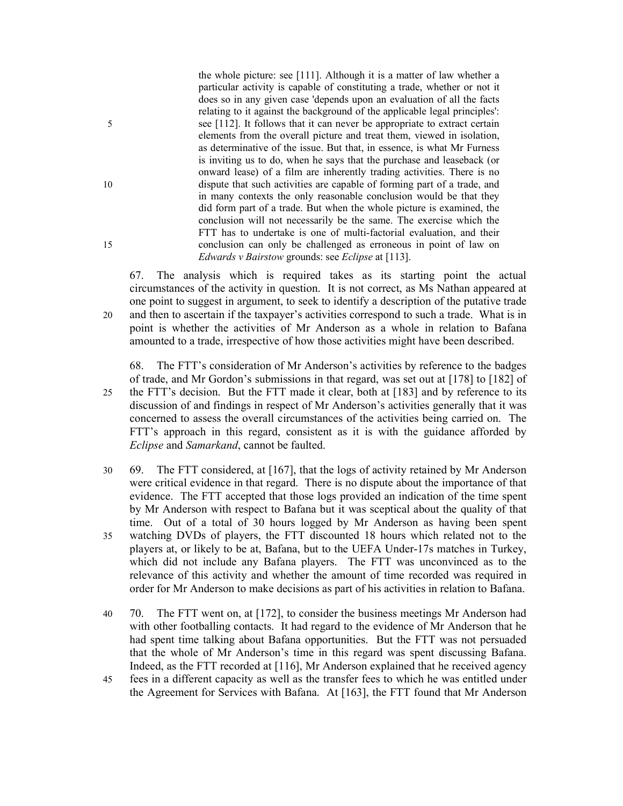the whole picture: see [111]. Although it is a matter of law whether a particular activity is capable of constituting a trade, whether or not it does so in any given case 'depends upon an evaluation of all the facts relating to it against the background of the applicable legal principles': 5 see [112]. It follows that it can never be appropriate to extract certain elements from the overall picture and treat them, viewed in isolation, as determinative of the issue. But that, in essence, is what Mr Furness is inviting us to do, when he says that the purchase and leaseback (or onward lease) of a film are inherently trading activities. There is no 10 dispute that such activities are capable of forming part of a trade, and in many contexts the only reasonable conclusion would be that they did form part of a trade. But when the whole picture is examined, the conclusion will not necessarily be the same. The exercise which the FTT has to undertake is one of multi-factorial evaluation, and their 15 conclusion can only be challenged as erroneous in point of law on Edwards v Bairstow grounds: see Eclipse at [113].

67. The analysis which is required takes as its starting point the actual circumstances of the activity in question. It is not correct, as Ms Nathan appeared at one point to suggest in argument, to seek to identify a description of the putative trade 20 and then to ascertain if the taxpayer's activities correspond to such a trade. What is in point is whether the activities of Mr Anderson as a whole in relation to Bafana amounted to a trade, irrespective of how those activities might have been described.

68. The FTT's consideration of Mr Anderson's activities by reference to the badges of trade, and Mr Gordon's submissions in that regard, was set out at [178] to [182] of 25 the FTT's decision. But the FTT made it clear, both at [183] and by reference to its discussion of and findings in respect of Mr Anderson's activities generally that it was concerned to assess the overall circumstances of the activities being carried on. The FTT's approach in this regard, consistent as it is with the guidance afforded by Eclipse and Samarkand, cannot be faulted.

- 30 69. The FTT considered, at [167], that the logs of activity retained by Mr Anderson were critical evidence in that regard. There is no dispute about the importance of that evidence. The FTT accepted that those logs provided an indication of the time spent by Mr Anderson with respect to Bafana but it was sceptical about the quality of that time. Out of a total of 30 hours logged by Mr Anderson as having been spent 35 watching DVDs of players, the FTT discounted 18 hours which related not to the players at, or likely to be at, Bafana, but to the UEFA Under-17s matches in Turkey, which did not include any Bafana players. The FTT was unconvinced as to the relevance of this activity and whether the amount of time recorded was required in order for Mr Anderson to make decisions as part of his activities in relation to Bafana.
- 40 70. The FTT went on, at [172], to consider the business meetings Mr Anderson had with other footballing contacts. It had regard to the evidence of Mr Anderson that he had spent time talking about Bafana opportunities. But the FTT was not persuaded that the whole of Mr Anderson's time in this regard was spent discussing Bafana. Indeed, as the FTT recorded at [116], Mr Anderson explained that he received agency
- 45 fees in a different capacity as well as the transfer fees to which he was entitled under the Agreement for Services with Bafana. At [163], the FTT found that Mr Anderson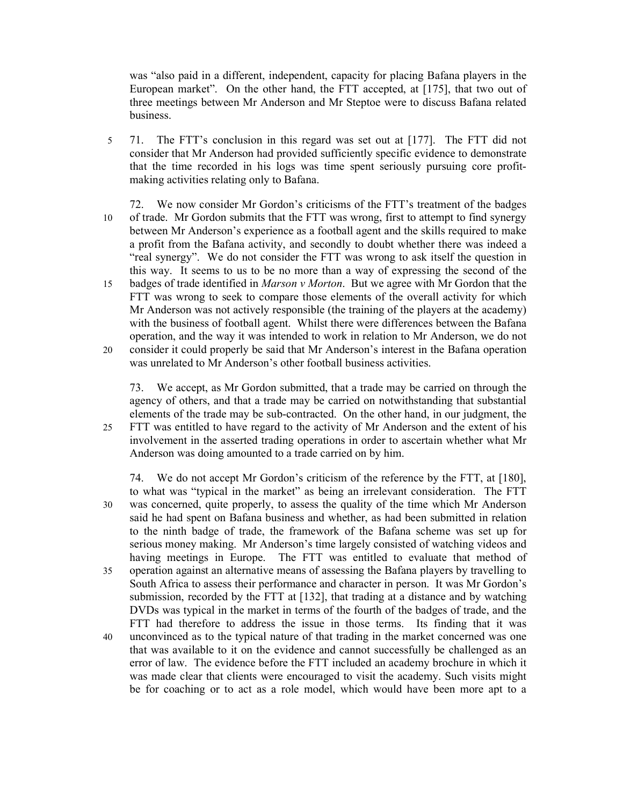was "also paid in a different, independent, capacity for placing Bafana players in the European market". On the other hand, the FTT accepted, at [175], that two out of three meetings between Mr Anderson and Mr Steptoe were to discuss Bafana related business.

- 5 71. The FTT's conclusion in this regard was set out at [177]. The FTT did not consider that Mr Anderson had provided sufficiently specific evidence to demonstrate that the time recorded in his logs was time spent seriously pursuing core profitmaking activities relating only to Bafana.
- 72. We now consider Mr Gordon's criticisms of the FTT's treatment of the badges 10 of trade. Mr Gordon submits that the FTT was wrong, first to attempt to find synergy between Mr Anderson's experience as a football agent and the skills required to make a profit from the Bafana activity, and secondly to doubt whether there was indeed a "real synergy". We do not consider the FTT was wrong to ask itself the question in this way. It seems to us to be no more than a way of expressing the second of the
- 15 badges of trade identified in Marson v Morton. But we agree with Mr Gordon that the FTT was wrong to seek to compare those elements of the overall activity for which Mr Anderson was not actively responsible (the training of the players at the academy) with the business of football agent. Whilst there were differences between the Bafana operation, and the way it was intended to work in relation to Mr Anderson, we do not
- 20 consider it could properly be said that Mr Anderson's interest in the Bafana operation was unrelated to Mr Anderson's other football business activities.

73. We accept, as Mr Gordon submitted, that a trade may be carried on through the agency of others, and that a trade may be carried on notwithstanding that substantial elements of the trade may be sub-contracted. On the other hand, in our judgment, the 25 FTT was entitled to have regard to the activity of Mr Anderson and the extent of his involvement in the asserted trading operations in order to ascertain whether what Mr Anderson was doing amounted to a trade carried on by him.

74. We do not accept Mr Gordon's criticism of the reference by the FTT, at [180], to what was "typical in the market" as being an irrelevant consideration. The FTT 30 was concerned, quite properly, to assess the quality of the time which Mr Anderson said he had spent on Bafana business and whether, as had been submitted in relation to the ninth badge of trade, the framework of the Bafana scheme was set up for serious money making. Mr Anderson's time largely consisted of watching videos and having meetings in Europe. The FTT was entitled to evaluate that method of 35 operation against an alternative means of assessing the Bafana players by travelling to South Africa to assess their performance and character in person. It was Mr Gordon's submission, recorded by the FTT at [132], that trading at a distance and by watching DVDs was typical in the market in terms of the fourth of the badges of trade, and the FTT had therefore to address the issue in those terms. Its finding that it was 40 unconvinced as to the typical nature of that trading in the market concerned was one that was available to it on the evidence and cannot successfully be challenged as an error of law. The evidence before the FTT included an academy brochure in which it was made clear that clients were encouraged to visit the academy. Such visits might be for coaching or to act as a role model, which would have been more apt to a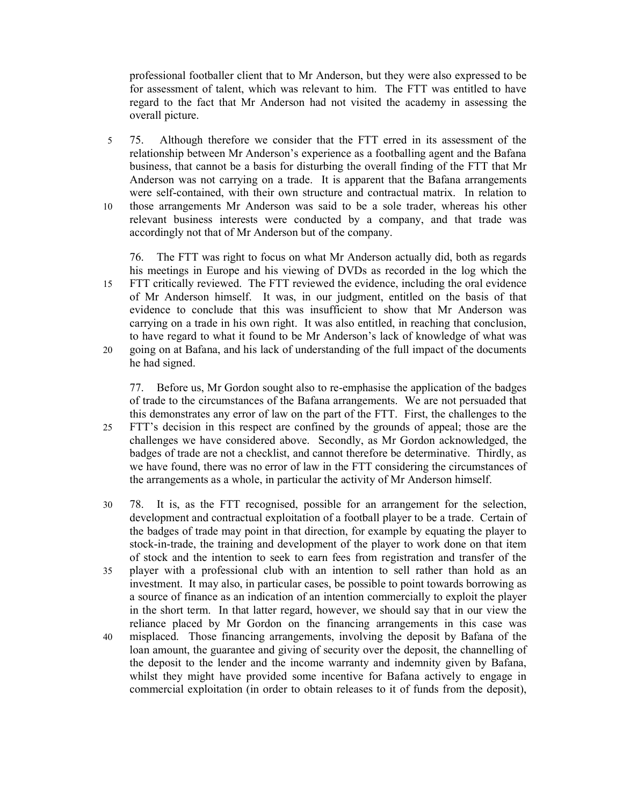professional footballer client that to Mr Anderson, but they were also expressed to be for assessment of talent, which was relevant to him. The FTT was entitled to have regard to the fact that Mr Anderson had not visited the academy in assessing the overall picture.

5 75. Although therefore we consider that the FTT erred in its assessment of the relationship between Mr Anderson's experience as a footballing agent and the Bafana business, that cannot be a basis for disturbing the overall finding of the FTT that Mr Anderson was not carrying on a trade. It is apparent that the Bafana arrangements were self-contained, with their own structure and contractual matrix. In relation to 10 those arrangements Mr Anderson was said to be a sole trader, whereas his other relevant business interests were conducted by a company, and that trade was accordingly not that of Mr Anderson but of the company.

76. The FTT was right to focus on what Mr Anderson actually did, both as regards his meetings in Europe and his viewing of DVDs as recorded in the log which the

- 15 FTT critically reviewed. The FTT reviewed the evidence, including the oral evidence of Mr Anderson himself. It was, in our judgment, entitled on the basis of that evidence to conclude that this was insufficient to show that Mr Anderson was carrying on a trade in his own right. It was also entitled, in reaching that conclusion, to have regard to what it found to be Mr Anderson's lack of knowledge of what was
- 20 going on at Bafana, and his lack of understanding of the full impact of the documents he had signed.

77. Before us, Mr Gordon sought also to re-emphasise the application of the badges of trade to the circumstances of the Bafana arrangements. We are not persuaded that this demonstrates any error of law on the part of the FTT. First, the challenges to the 25 FTT's decision in this respect are confined by the grounds of appeal; those are the challenges we have considered above. Secondly, as Mr Gordon acknowledged, the badges of trade are not a checklist, and cannot therefore be determinative. Thirdly, as we have found, there was no error of law in the FTT considering the circumstances of the arrangements as a whole, in particular the activity of Mr Anderson himself.

- 30 78. It is, as the FTT recognised, possible for an arrangement for the selection, development and contractual exploitation of a football player to be a trade. Certain of the badges of trade may point in that direction, for example by equating the player to stock-in-trade, the training and development of the player to work done on that item of stock and the intention to seek to earn fees from registration and transfer of the
- 35 player with a professional club with an intention to sell rather than hold as an investment. It may also, in particular cases, be possible to point towards borrowing as a source of finance as an indication of an intention commercially to exploit the player in the short term. In that latter regard, however, we should say that in our view the reliance placed by Mr Gordon on the financing arrangements in this case was
- 40 misplaced. Those financing arrangements, involving the deposit by Bafana of the loan amount, the guarantee and giving of security over the deposit, the channelling of the deposit to the lender and the income warranty and indemnity given by Bafana, whilst they might have provided some incentive for Bafana actively to engage in commercial exploitation (in order to obtain releases to it of funds from the deposit),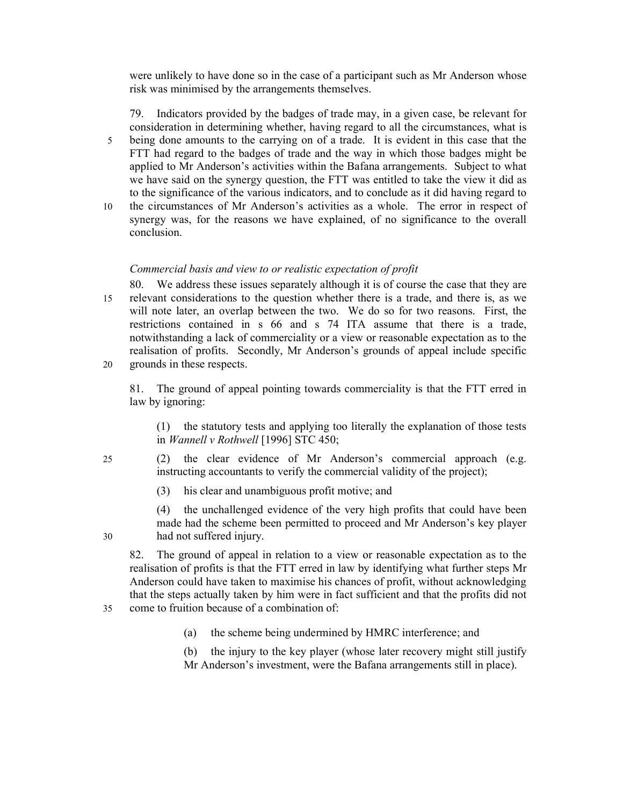were unlikely to have done so in the case of a participant such as Mr Anderson whose risk was minimised by the arrangements themselves.

79. Indicators provided by the badges of trade may, in a given case, be relevant for consideration in determining whether, having regard to all the circumstances, what is 5 being done amounts to the carrying on of a trade. It is evident in this case that the FTT had regard to the badges of trade and the way in which those badges might be applied to Mr Anderson's activities within the Bafana arrangements. Subject to what we have said on the synergy question, the FTT was entitled to take the view it did as to the significance of the various indicators, and to conclude as it did having regard to 10 the circumstances of Mr Anderson's activities as a whole. The error in respect of

synergy was, for the reasons we have explained, of no significance to the overall conclusion.

### Commercial basis and view to or realistic expectation of profit

- 80. We address these issues separately although it is of course the case that they are 15 relevant considerations to the question whether there is a trade, and there is, as we will note later, an overlap between the two. We do so for two reasons. First, the restrictions contained in s 66 and s 74 ITA assume that there is a trade, notwithstanding a lack of commerciality or a view or reasonable expectation as to the realisation of profits. Secondly, Mr Anderson's grounds of appeal include specific 20 grounds in these respects.
	- 81. The ground of appeal pointing towards commerciality is that the FTT erred in law by ignoring:

(1) the statutory tests and applying too literally the explanation of those tests in Wannell v Rothwell [1996] STC 450;

- 25 (2) the clear evidence of Mr Anderson's commercial approach (e.g. instructing accountants to verify the commercial validity of the project);
	- (3) his clear and unambiguous profit motive; and

(4) the unchallenged evidence of the very high profits that could have been made had the scheme been permitted to proceed and Mr Anderson's key player 30 had not suffered injury.

82. The ground of appeal in relation to a view or reasonable expectation as to the realisation of profits is that the FTT erred in law by identifying what further steps Mr Anderson could have taken to maximise his chances of profit, without acknowledging that the steps actually taken by him were in fact sufficient and that the profits did not 35 come to fruition because of a combination of:

(a) the scheme being undermined by HMRC interference; and

(b) the injury to the key player (whose later recovery might still justify Mr Anderson's investment, were the Bafana arrangements still in place).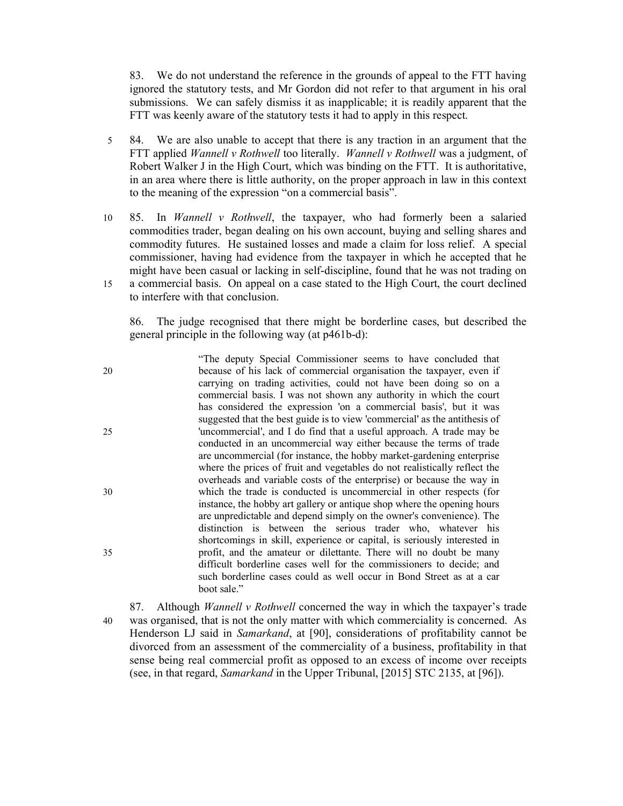83. We do not understand the reference in the grounds of appeal to the FTT having ignored the statutory tests, and Mr Gordon did not refer to that argument in his oral submissions. We can safely dismiss it as inapplicable; it is readily apparent that the FTT was keenly aware of the statutory tests it had to apply in this respect.

- 5 84. We are also unable to accept that there is any traction in an argument that the FTT applied *Wannell v Rothwell* too literally. *Wannell v Rothwell* was a judgment, of Robert Walker J in the High Court, which was binding on the FTT. It is authoritative, in an area where there is little authority, on the proper approach in law in this context to the meaning of the expression "on a commercial basis".
- 10 85. In *Wannell v Rothwell*, the taxpayer, who had formerly been a salaried commodities trader, began dealing on his own account, buying and selling shares and commodity futures. He sustained losses and made a claim for loss relief. A special commissioner, having had evidence from the taxpayer in which he accepted that he might have been casual or lacking in self-discipline, found that he was not trading on 15 a commercial basis. On appeal on a case stated to the High Court, the court declined to interfere with that conclusion.

86. The judge recognised that there might be borderline cases, but described the general principle in the following way (at p461b-d):

- "The deputy Special Commissioner seems to have concluded that 20 because of his lack of commercial organisation the taxpayer, even if carrying on trading activities, could not have been doing so on a commercial basis. I was not shown any authority in which the court has considered the expression 'on a commercial basis', but it was suggested that the best guide is to view 'commercial' as the antithesis of 25 'uncommercial', and I do find that a useful approach. A trade may be conducted in an uncommercial way either because the terms of trade are uncommercial (for instance, the hobby market-gardening enterprise where the prices of fruit and vegetables do not realistically reflect the overheads and variable costs of the enterprise) or because the way in 30 which the trade is conducted is uncommercial in other respects (for instance, the hobby art gallery or antique shop where the opening hours are unpredictable and depend simply on the owner's convenience). The distinction is between the serious trader who, whatever his shortcomings in skill, experience or capital, is seriously interested in 35 profit, and the amateur or dilettante. There will no doubt be many difficult borderline cases well for the commissioners to decide; and such borderline cases could as well occur in Bond Street as at a car boot sale."
- 87. Although Wannell v Rothwell concerned the way in which the taxpayer's trade 40 was organised, that is not the only matter with which commerciality is concerned. As Henderson LJ said in Samarkand, at [90], considerations of profitability cannot be divorced from an assessment of the commerciality of a business, profitability in that sense being real commercial profit as opposed to an excess of income over receipts (see, in that regard, Samarkand in the Upper Tribunal, [2015] STC 2135, at [96]).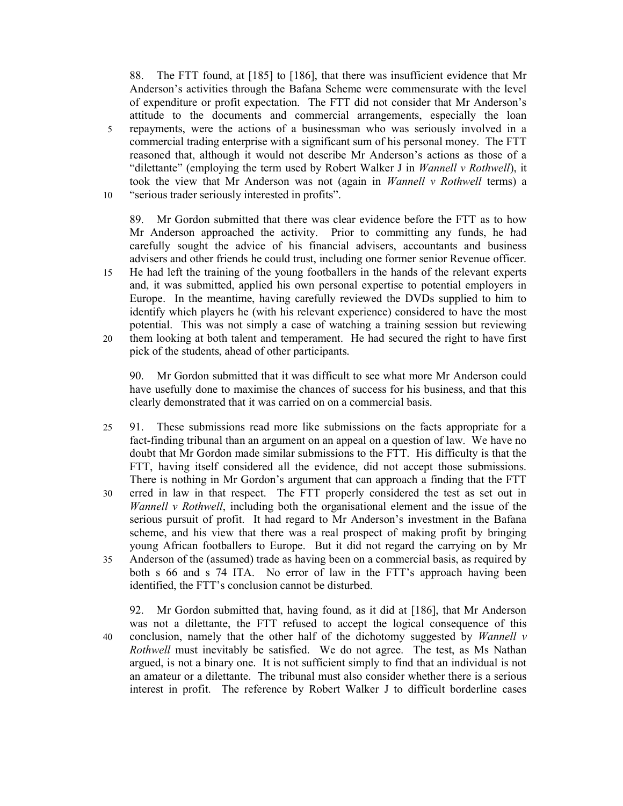88. The FTT found, at [185] to [186], that there was insufficient evidence that Mr Anderson's activities through the Bafana Scheme were commensurate with the level of expenditure or profit expectation. The FTT did not consider that Mr Anderson's attitude to the documents and commercial arrangements, especially the loan 5 repayments, were the actions of a businessman who was seriously involved in a commercial trading enterprise with a significant sum of his personal money. The FTT reasoned that, although it would not describe Mr Anderson's actions as those of a "dilettante" (employing the term used by Robert Walker J in *Wannell v Rothwell*), it took the view that Mr Anderson was not (again in Wannell v Rothwell terms) a 10 "serious trader seriously interested in profits".

89. Mr Gordon submitted that there was clear evidence before the FTT as to how Mr Anderson approached the activity. Prior to committing any funds, he had carefully sought the advice of his financial advisers, accountants and business advisers and other friends he could trust, including one former senior Revenue officer. 15 He had left the training of the young footballers in the hands of the relevant experts and, it was submitted, applied his own personal expertise to potential employers in Europe. In the meantime, having carefully reviewed the DVDs supplied to him to identify which players he (with his relevant experience) considered to have the most potential. This was not simply a case of watching a training session but reviewing 20 them looking at both talent and temperament. He had secured the right to have first pick of the students, ahead of other participants.

90. Mr Gordon submitted that it was difficult to see what more Mr Anderson could have usefully done to maximise the chances of success for his business, and that this clearly demonstrated that it was carried on on a commercial basis.

- 25 91. These submissions read more like submissions on the facts appropriate for a fact-finding tribunal than an argument on an appeal on a question of law. We have no doubt that Mr Gordon made similar submissions to the FTT. His difficulty is that the FTT, having itself considered all the evidence, did not accept those submissions. There is nothing in Mr Gordon's argument that can approach a finding that the FTT
- 30 erred in law in that respect. The FTT properly considered the test as set out in *Wannell v Rothwell*, including both the organisational element and the issue of the serious pursuit of profit. It had regard to Mr Anderson's investment in the Bafana scheme, and his view that there was a real prospect of making profit by bringing young African footballers to Europe. But it did not regard the carrying on by Mr 35 Anderson of the (assumed) trade as having been on a commercial basis, as required by
- both s 66 and s 74 ITA. No error of law in the FTT's approach having been identified, the FTT's conclusion cannot be disturbed.

92. Mr Gordon submitted that, having found, as it did at [186], that Mr Anderson was not a dilettante, the FTT refused to accept the logical consequence of this 40 conclusion, namely that the other half of the dichotomy suggested by *Wannell v* Rothwell must inevitably be satisfied. We do not agree. The test, as Ms Nathan argued, is not a binary one. It is not sufficient simply to find that an individual is not an amateur or a dilettante. The tribunal must also consider whether there is a serious interest in profit. The reference by Robert Walker J to difficult borderline cases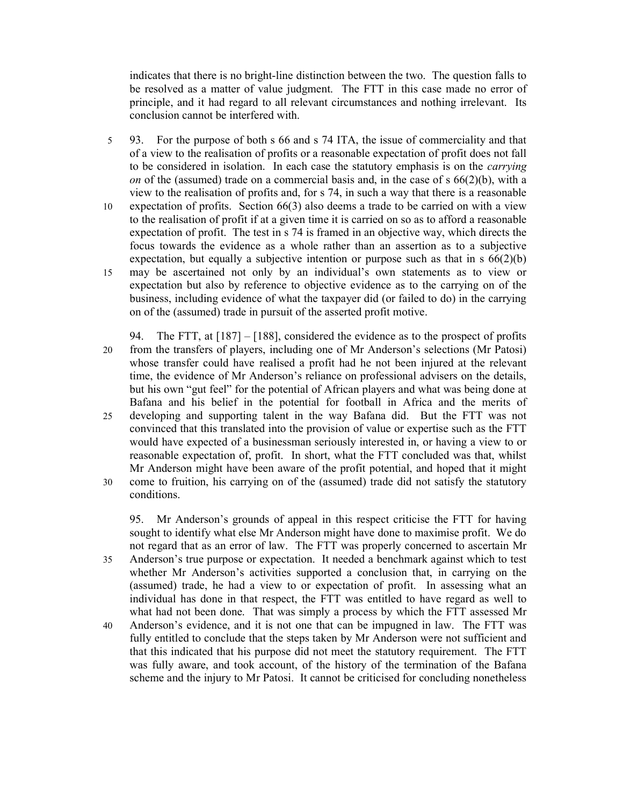indicates that there is no bright-line distinction between the two. The question falls to be resolved as a matter of value judgment. The FTT in this case made no error of principle, and it had regard to all relevant circumstances and nothing irrelevant. Its conclusion cannot be interfered with.

- 5 93. For the purpose of both s 66 and s 74 ITA, the issue of commerciality and that of a view to the realisation of profits or a reasonable expectation of profit does not fall to be considered in isolation. In each case the statutory emphasis is on the carrying on of the (assumed) trade on a commercial basis and, in the case of  $s$  66(2)(b), with a view to the realisation of profits and, for s 74, in such a way that there is a reasonable 10 expectation of profits. Section 66(3) also deems a trade to be carried on with a view to the realisation of profit if at a given time it is carried on so as to afford a reasonable expectation of profit. The test in s 74 is framed in an objective way, which directs the focus towards the evidence as a whole rather than an assertion as to a subjective expectation, but equally a subjective intention or purpose such as that in  $s \frac{66(2)}{b}$ 15 may be ascertained not only by an individual's own statements as to view or expectation but also by reference to objective evidence as to the carrying on of the business, including evidence of what the taxpayer did (or failed to do) in the carrying on of the (assumed) trade in pursuit of the asserted profit motive.
- 94. The FTT, at  $[187] [188]$ , considered the evidence as to the prospect of profits 20 from the transfers of players, including one of Mr Anderson's selections (Mr Patosi) whose transfer could have realised a profit had he not been injured at the relevant time, the evidence of Mr Anderson's reliance on professional advisers on the details, but his own "gut feel" for the potential of African players and what was being done at Bafana and his belief in the potential for football in Africa and the merits of 25 developing and supporting talent in the way Bafana did. But the FTT was not convinced that this translated into the provision of value or expertise such as the FTT would have expected of a businessman seriously interested in, or having a view to or reasonable expectation of, profit. In short, what the FTT concluded was that, whilst Mr Anderson might have been aware of the profit potential, and hoped that it might 30 come to fruition, his carrying on of the (assumed) trade did not satisfy the statutory
- conditions.

95. Mr Anderson's grounds of appeal in this respect criticise the FTT for having sought to identify what else Mr Anderson might have done to maximise profit. We do not regard that as an error of law. The FTT was properly concerned to ascertain Mr 35 Anderson's true purpose or expectation. It needed a benchmark against which to test whether Mr Anderson's activities supported a conclusion that, in carrying on the (assumed) trade, he had a view to or expectation of profit. In assessing what an individual has done in that respect, the FTT was entitled to have regard as well to what had not been done. That was simply a process by which the FTT assessed Mr 40 Anderson's evidence, and it is not one that can be impugned in law. The FTT was fully entitled to conclude that the steps taken by Mr Anderson were not sufficient and that this indicated that his purpose did not meet the statutory requirement. The FTT was fully aware, and took account, of the history of the termination of the Bafana scheme and the injury to Mr Patosi. It cannot be criticised for concluding nonetheless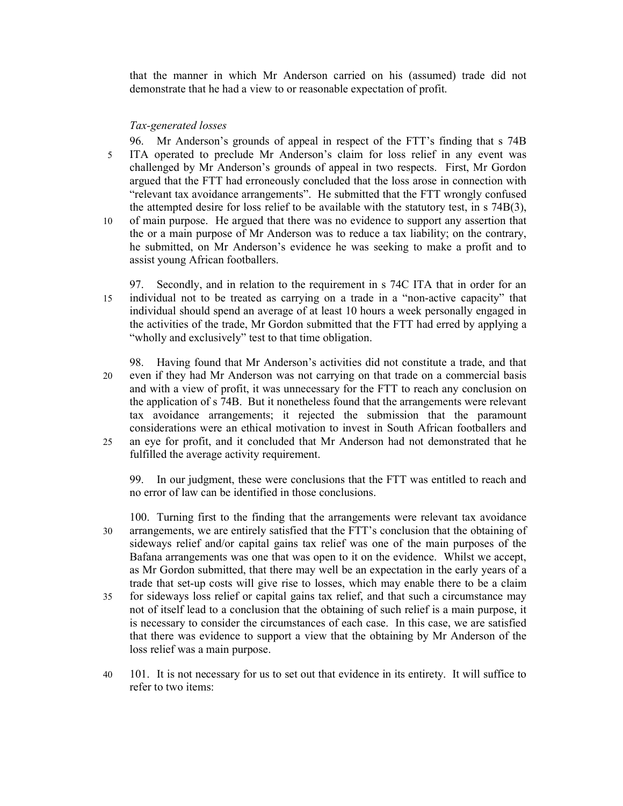that the manner in which Mr Anderson carried on his (assumed) trade did not demonstrate that he had a view to or reasonable expectation of profit.

## Tax-generated losses

96. Mr Anderson's grounds of appeal in respect of the FTT's finding that s 74B 5 ITA operated to preclude Mr Anderson's claim for loss relief in any event was challenged by Mr Anderson's grounds of appeal in two respects. First, Mr Gordon argued that the FTT had erroneously concluded that the loss arose in connection with "relevant tax avoidance arrangements". He submitted that the FTT wrongly confused the attempted desire for loss relief to be available with the statutory test, in s 74B(3),

- 10 of main purpose. He argued that there was no evidence to support any assertion that the or a main purpose of Mr Anderson was to reduce a tax liability; on the contrary, he submitted, on Mr Anderson's evidence he was seeking to make a profit and to assist young African footballers.
- 97. Secondly, and in relation to the requirement in s 74C ITA that in order for an 15 individual not to be treated as carrying on a trade in a "non-active capacity" that individual should spend an average of at least 10 hours a week personally engaged in the activities of the trade, Mr Gordon submitted that the FTT had erred by applying a "wholly and exclusively" test to that time obligation.
- 98. Having found that Mr Anderson's activities did not constitute a trade, and that 20 even if they had Mr Anderson was not carrying on that trade on a commercial basis and with a view of profit, it was unnecessary for the FTT to reach any conclusion on the application of s 74B. But it nonetheless found that the arrangements were relevant tax avoidance arrangements; it rejected the submission that the paramount considerations were an ethical motivation to invest in South African footballers and 25 an eye for profit, and it concluded that Mr Anderson had not demonstrated that he fulfilled the average activity requirement.

99. In our judgment, these were conclusions that the FTT was entitled to reach and no error of law can be identified in those conclusions.

- 100. Turning first to the finding that the arrangements were relevant tax avoidance 30 arrangements, we are entirely satisfied that the FTT's conclusion that the obtaining of sideways relief and/or capital gains tax relief was one of the main purposes of the Bafana arrangements was one that was open to it on the evidence. Whilst we accept, as Mr Gordon submitted, that there may well be an expectation in the early years of a trade that set-up costs will give rise to losses, which may enable there to be a claim 35 for sideways loss relief or capital gains tax relief, and that such a circumstance may not of itself lead to a conclusion that the obtaining of such relief is a main purpose, it is necessary to consider the circumstances of each case. In this case, we are satisfied that there was evidence to support a view that the obtaining by Mr Anderson of the loss relief was a main purpose.
- 40 101. It is not necessary for us to set out that evidence in its entirety. It will suffice to refer to two items: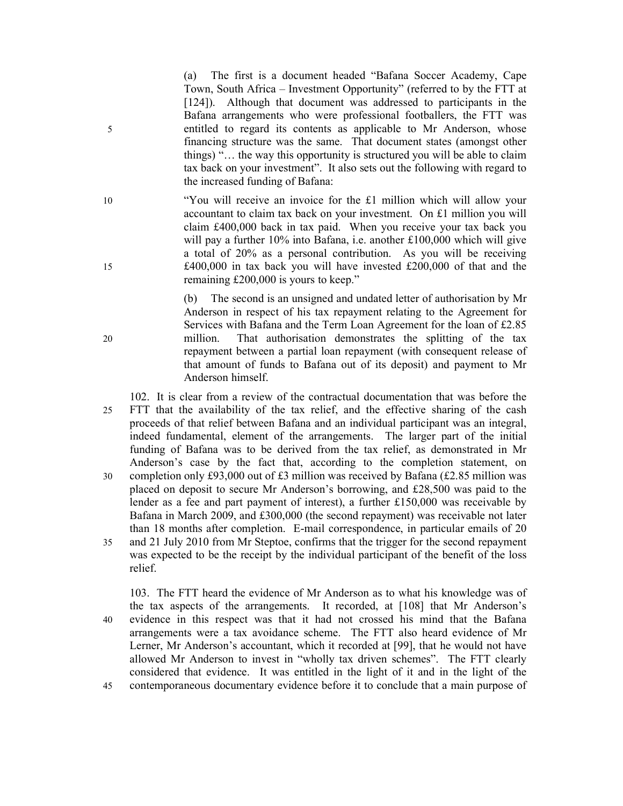(a) The first is a document headed "Bafana Soccer Academy, Cape Town, South Africa – Investment Opportunity" (referred to by the FTT at [124]). Although that document was addressed to participants in the Bafana arrangements who were professional footballers, the FTT was 5 entitled to regard its contents as applicable to Mr Anderson, whose financing structure was the same. That document states (amongst other things) "… the way this opportunity is structured you will be able to claim tax back on your investment". It also sets out the following with regard to the increased funding of Bafana:

10 "You will receive an invoice for the £1 million which will allow your accountant to claim tax back on your investment. On £1 million you will claim £400,000 back in tax paid. When you receive your tax back you will pay a further 10% into Bafana, i.e. another £100,000 which will give a total of 20% as a personal contribution. As you will be receiving 15 £400,000 in tax back you will have invested £200,000 of that and the remaining £200,000 is yours to keep."

(b) The second is an unsigned and undated letter of authorisation by Mr Anderson in respect of his tax repayment relating to the Agreement for Services with Bafana and the Term Loan Agreement for the loan of £2.85 20 million. That authorisation demonstrates the splitting of the tax repayment between a partial loan repayment (with consequent release of that amount of funds to Bafana out of its deposit) and payment to Mr Anderson himself.

102. It is clear from a review of the contractual documentation that was before the 25 FTT that the availability of the tax relief, and the effective sharing of the cash proceeds of that relief between Bafana and an individual participant was an integral, indeed fundamental, element of the arrangements. The larger part of the initial funding of Bafana was to be derived from the tax relief, as demonstrated in Mr Anderson's case by the fact that, according to the completion statement, on 30 completion only £93,000 out of £3 million was received by Bafana (£2.85 million was placed on deposit to secure Mr Anderson's borrowing, and £28,500 was paid to the lender as a fee and part payment of interest), a further £150,000 was receivable by Bafana in March 2009, and £300,000 (the second repayment) was receivable not later than 18 months after completion. E-mail correspondence, in particular emails of 20 35 and 21 July 2010 from Mr Steptoe, confirms that the trigger for the second repayment was expected to be the receipt by the individual participant of the benefit of the loss relief.

103. The FTT heard the evidence of Mr Anderson as to what his knowledge was of the tax aspects of the arrangements. It recorded, at [108] that Mr Anderson's 40 evidence in this respect was that it had not crossed his mind that the Bafana arrangements were a tax avoidance scheme. The FTT also heard evidence of Mr Lerner, Mr Anderson's accountant, which it recorded at [99], that he would not have allowed Mr Anderson to invest in "wholly tax driven schemes". The FTT clearly considered that evidence. It was entitled in the light of it and in the light of the 45 contemporaneous documentary evidence before it to conclude that a main purpose of